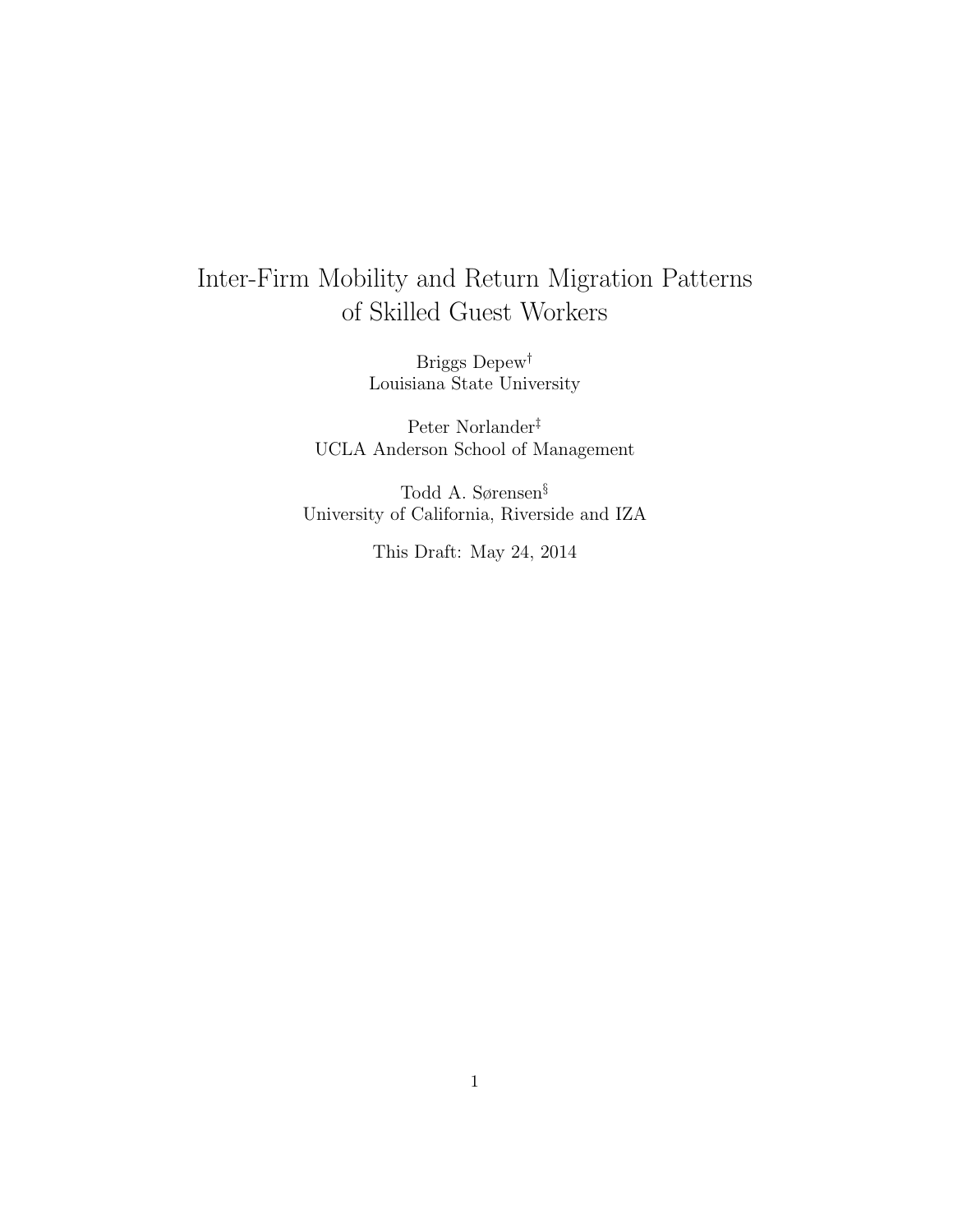# <span id="page-0-0"></span>Inter-Firm Mobility and Return Migration Patterns of Skilled Guest Workers

Briggs Depew† Louisiana State University

Peter Norlander‡ UCLA Anderson School of Management

Todd A. Sørensen§ University of California, Riverside and IZA

This Draft: May 24, 2014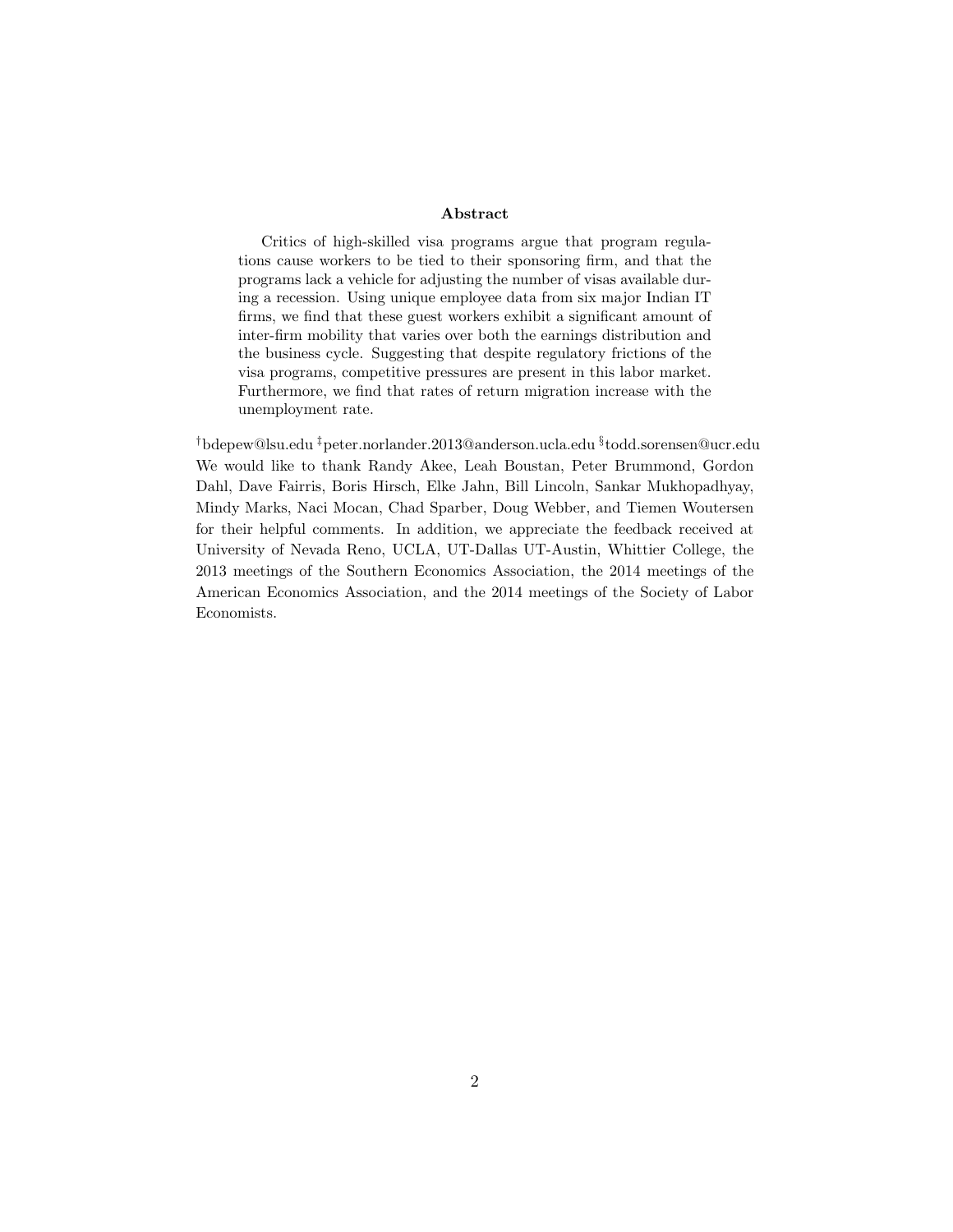#### Abstract

Critics of high-skilled visa programs argue that program regulations cause workers to be tied to their sponsoring firm, and that the programs lack a vehicle for adjusting the number of visas available during a recession. Using unique employee data from six major Indian IT firms, we find that these guest workers exhibit a significant amount of inter-firm mobility that varies over both the earnings distribution and the business cycle. Suggesting that despite regulatory frictions of the visa programs, competitive pressures are present in this labor market. Furthermore, we find that rates of return migration increase with the unemployment rate.

†bdepew@lsu.edu ‡peter.norlander.2013@anderson.ucla.edu § todd.sorensen@ucr.edu We would like to thank Randy Akee, Leah Boustan, Peter Brummond, Gordon Dahl, Dave Fairris, Boris Hirsch, Elke Jahn, Bill Lincoln, Sankar Mukhopadhyay, Mindy Marks, Naci Mocan, Chad Sparber, Doug Webber, and Tiemen Woutersen for their helpful comments. In addition, we appreciate the feedback received at University of Nevada Reno, UCLA, UT-Dallas UT-Austin, Whittier College, the 2013 meetings of the Southern Economics Association, the 2014 meetings of the American Economics Association, and the 2014 meetings of the Society of Labor Economists.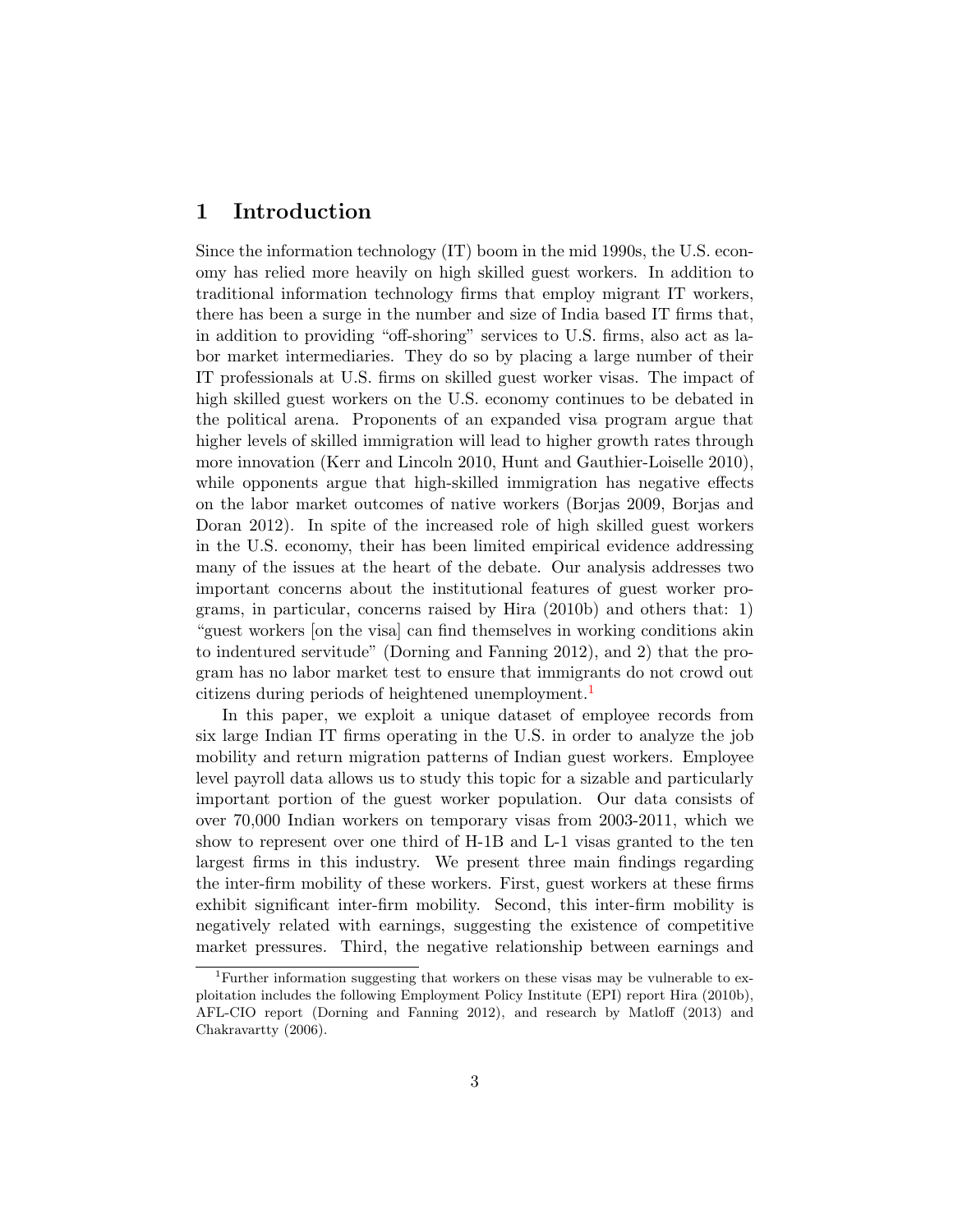# 1 Introduction

Since the information technology (IT) boom in the mid 1990s, the U.S. economy has relied more heavily on high skilled guest workers. In addition to traditional information technology firms that employ migrant IT workers, there has been a surge in the number and size of India based IT firms that, in addition to providing "off-shoring" services to U.S. firms, also act as labor market intermediaries. They do so by placing a large number of their IT professionals at U.S. firms on skilled guest worker visas. The impact of high skilled guest workers on the U.S. economy continues to be debated in the political arena. Proponents of an expanded visa program argue that higher levels of skilled immigration will lead to higher growth rates through more innovation (Kerr and Lincoln 2010, Hunt and Gauthier-Loiselle 2010), while opponents argue that high-skilled immigration has negative effects on the labor market outcomes of native workers (Borjas 2009, Borjas and Doran 2012). In spite of the increased role of high skilled guest workers in the U.S. economy, their has been limited empirical evidence addressing many of the issues at the heart of the debate. Our analysis addresses two important concerns about the institutional features of guest worker programs, in particular, concerns raised by Hira (2010b) and others that: 1) "guest workers [on the visa] can find themselves in working conditions akin to indentured servitude" (Dorning and Fanning 2012), and 2) that the program has no labor market test to ensure that immigrants do not crowd out citizens during periods of heightened unemployment.<sup>[1](#page-0-0)</sup>

In this paper, we exploit a unique dataset of employee records from six large Indian IT firms operating in the U.S. in order to analyze the job mobility and return migration patterns of Indian guest workers. Employee level payroll data allows us to study this topic for a sizable and particularly important portion of the guest worker population. Our data consists of over 70,000 Indian workers on temporary visas from 2003-2011, which we show to represent over one third of H-1B and L-1 visas granted to the ten largest firms in this industry. We present three main findings regarding the inter-firm mobility of these workers. First, guest workers at these firms exhibit significant inter-firm mobility. Second, this inter-firm mobility is negatively related with earnings, suggesting the existence of competitive market pressures. Third, the negative relationship between earnings and

<sup>&</sup>lt;sup>1</sup>Further information suggesting that workers on these visas may be vulnerable to exploitation includes the following Employment Policy Institute (EPI) report Hira (2010b), AFL-CIO report (Dorning and Fanning 2012), and research by Matloff (2013) and Chakravartty (2006).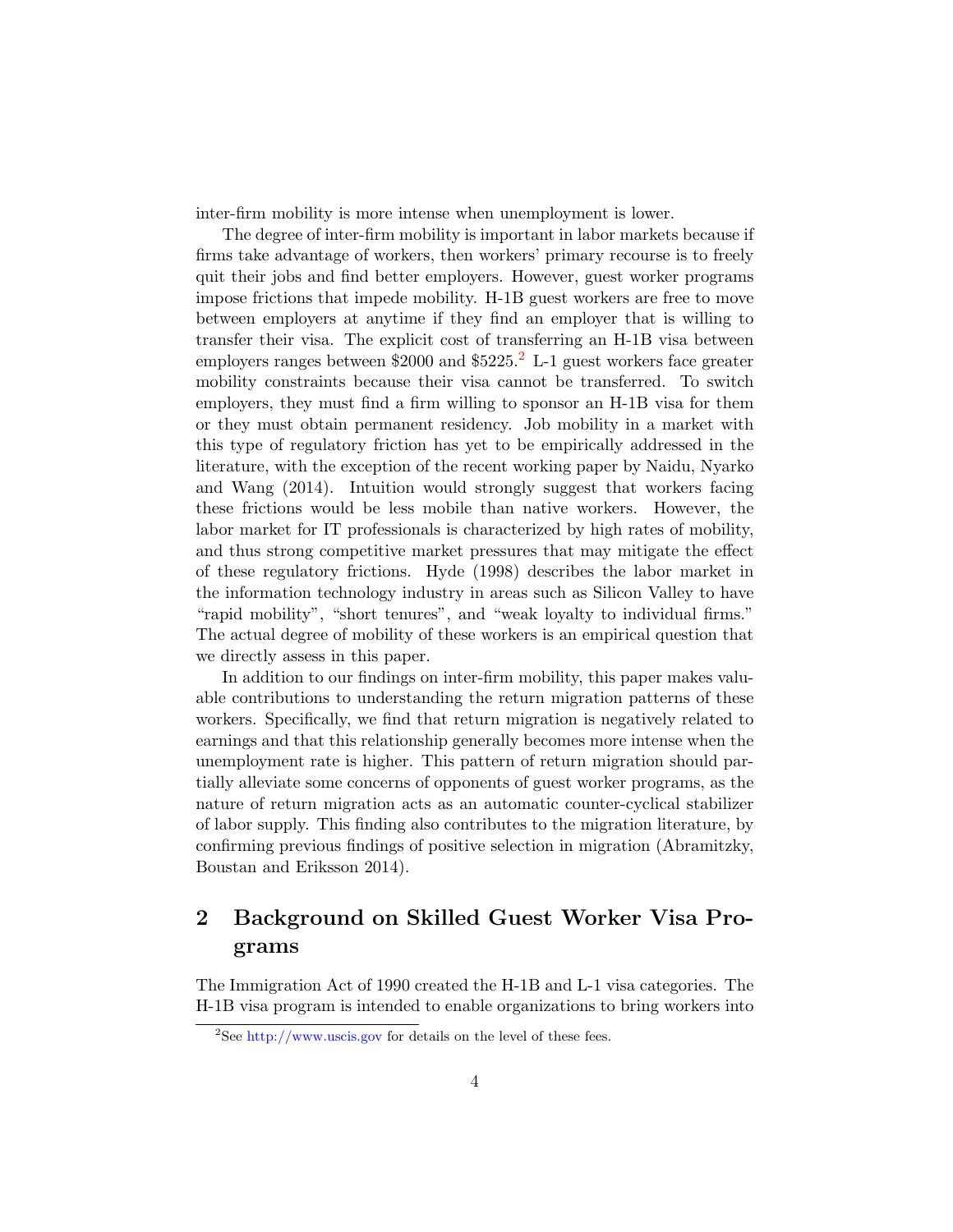inter-firm mobility is more intense when unemployment is lower.

The degree of inter-firm mobility is important in labor markets because if firms take advantage of workers, then workers' primary recourse is to freely quit their jobs and find better employers. However, guest worker programs impose frictions that impede mobility. H-1B guest workers are free to move between employers at anytime if they find an employer that is willing to transfer their visa. The explicit cost of transferring an H-1B visa between employers ranges between  $$2000$  $$2000$  $$2000$  and  $$5225.<sup>2</sup>$  L-1 guest workers face greater mobility constraints because their visa cannot be transferred. To switch employers, they must find a firm willing to sponsor an H-1B visa for them or they must obtain permanent residency. Job mobility in a market with this type of regulatory friction has yet to be empirically addressed in the literature, with the exception of the recent working paper by Naidu, Nyarko and Wang (2014). Intuition would strongly suggest that workers facing these frictions would be less mobile than native workers. However, the labor market for IT professionals is characterized by high rates of mobility, and thus strong competitive market pressures that may mitigate the effect of these regulatory frictions. Hyde (1998) describes the labor market in the information technology industry in areas such as Silicon Valley to have "rapid mobility", "short tenures", and "weak loyalty to individual firms." The actual degree of mobility of these workers is an empirical question that we directly assess in this paper.

In addition to our findings on inter-firm mobility, this paper makes valuable contributions to understanding the return migration patterns of these workers. Specifically, we find that return migration is negatively related to earnings and that this relationship generally becomes more intense when the unemployment rate is higher. This pattern of return migration should partially alleviate some concerns of opponents of guest worker programs, as the nature of return migration acts as an automatic counter-cyclical stabilizer of labor supply. This finding also contributes to the migration literature, by confirming previous findings of positive selection in migration (Abramitzky, Boustan and Eriksson 2014).

# 2 Background on Skilled Guest Worker Visa Programs

The Immigration Act of 1990 created the H-1B and L-1 visa categories. The H-1B visa program is intended to enable organizations to bring workers into

<sup>&</sup>lt;sup>2</sup>See <http://www.uscis.gov> for details on the level of these fees.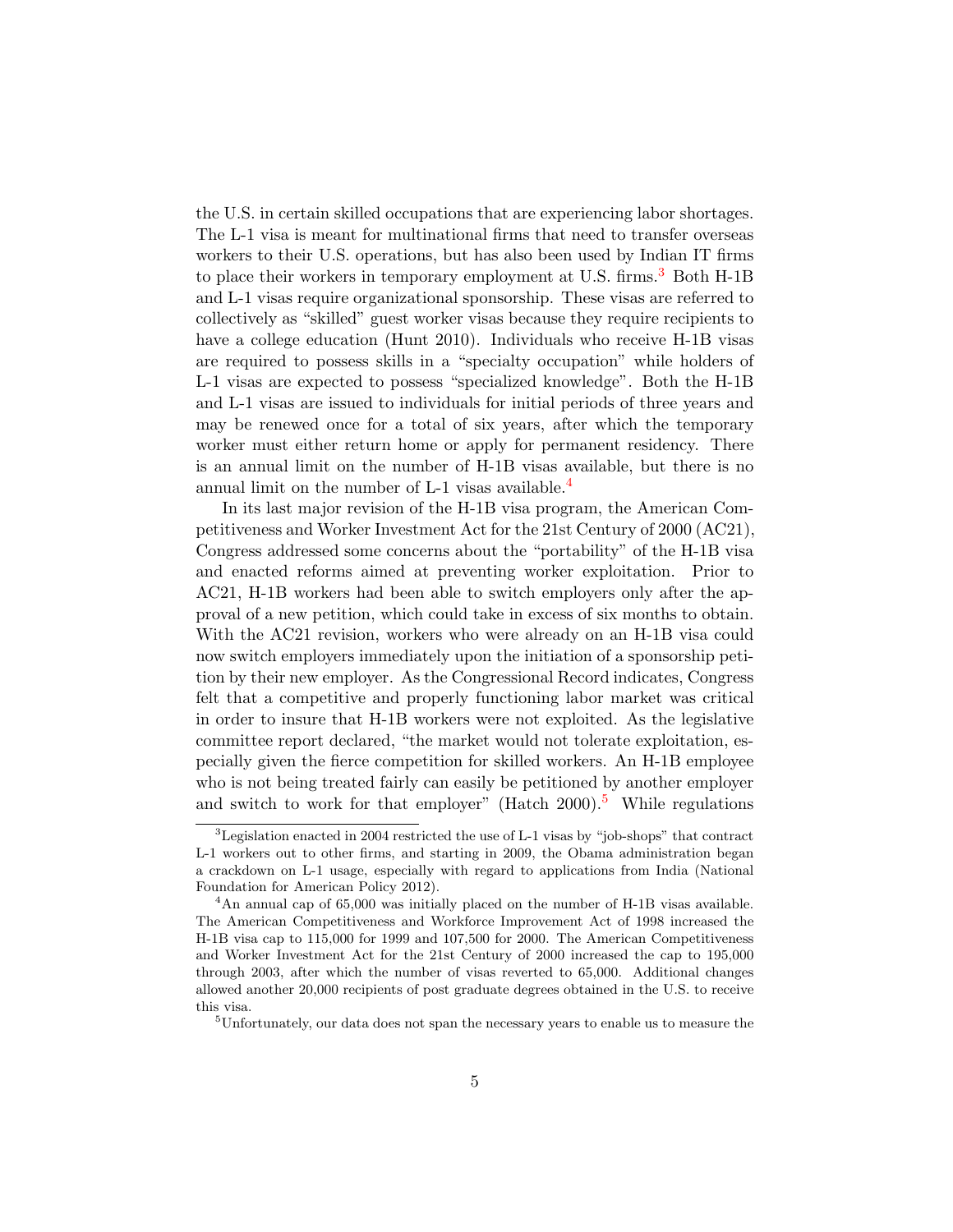the U.S. in certain skilled occupations that are experiencing labor shortages. The L-1 visa is meant for multinational firms that need to transfer overseas workers to their U.S. operations, but has also been used by Indian IT firms to place their workers in temporary employment at U.S. firms.<sup>[3](#page-0-0)</sup> Both H-1B and L-1 visas require organizational sponsorship. These visas are referred to collectively as "skilled" guest worker visas because they require recipients to have a college education (Hunt 2010). Individuals who receive H-1B visas are required to possess skills in a "specialty occupation" while holders of L-1 visas are expected to possess "specialized knowledge". Both the H-1B and L-1 visas are issued to individuals for initial periods of three years and may be renewed once for a total of six years, after which the temporary worker must either return home or apply for permanent residency. There is an annual limit on the number of H-1B visas available, but there is no annual limit on the number of L-1 visas available.<sup>[4](#page-0-0)</sup>

In its last major revision of the H-1B visa program, the American Competitiveness and Worker Investment Act for the 21st Century of 2000 (AC21), Congress addressed some concerns about the "portability" of the H-1B visa and enacted reforms aimed at preventing worker exploitation. Prior to AC21, H-1B workers had been able to switch employers only after the approval of a new petition, which could take in excess of six months to obtain. With the AC21 revision, workers who were already on an H-1B visa could now switch employers immediately upon the initiation of a sponsorship petition by their new employer. As the Congressional Record indicates, Congress felt that a competitive and properly functioning labor market was critical in order to insure that H-1B workers were not exploited. As the legislative committee report declared, "the market would not tolerate exploitation, especially given the fierce competition for skilled workers. An H-1B employee who is not being treated fairly can easily be petitioned by another employer and switch to work for that employer" (Hatch  $2000$ ).<sup>[5](#page-0-0)</sup> While regulations

<sup>3</sup>Legislation enacted in 2004 restricted the use of L-1 visas by "job-shops" that contract L-1 workers out to other firms, and starting in 2009, the Obama administration began a crackdown on L-1 usage, especially with regard to applications from India (National Foundation for American Policy 2012).

<sup>4</sup>An annual cap of 65,000 was initially placed on the number of H-1B visas available. The American Competitiveness and Workforce Improvement Act of 1998 increased the H-1B visa cap to 115,000 for 1999 and 107,500 for 2000. The American Competitiveness and Worker Investment Act for the 21st Century of 2000 increased the cap to 195,000 through 2003, after which the number of visas reverted to 65,000. Additional changes allowed another 20,000 recipients of post graduate degrees obtained in the U.S. to receive this visa.

<sup>&</sup>lt;sup>5</sup>Unfortunately, our data does not span the necessary years to enable us to measure the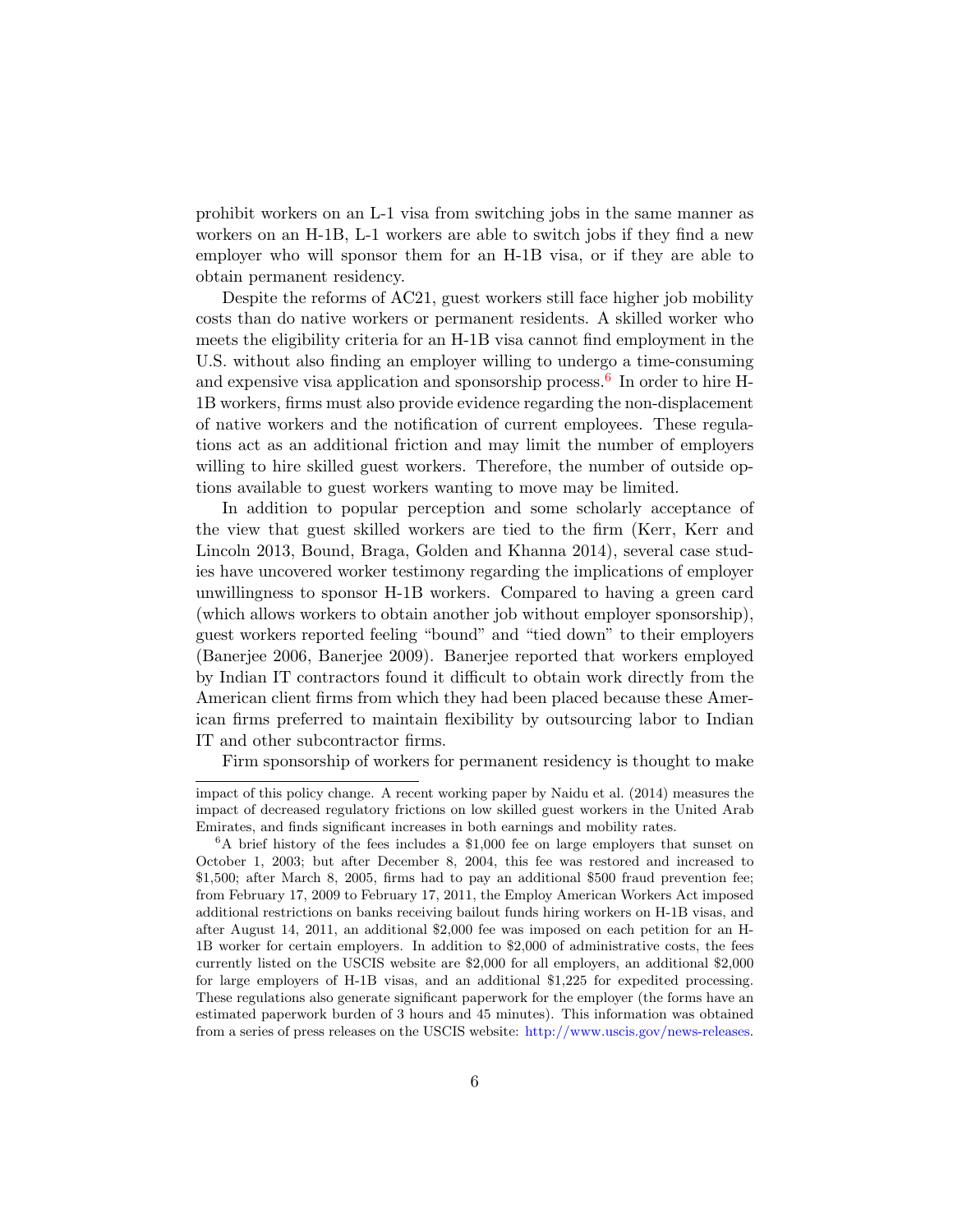prohibit workers on an L-1 visa from switching jobs in the same manner as workers on an H-1B, L-1 workers are able to switch jobs if they find a new employer who will sponsor them for an H-1B visa, or if they are able to obtain permanent residency.

Despite the reforms of AC21, guest workers still face higher job mobility costs than do native workers or permanent residents. A skilled worker who meets the eligibility criteria for an H-1B visa cannot find employment in the U.S. without also finding an employer willing to undergo a time-consuming and expensive visa application and sponsorship process.<sup>[6](#page-0-0)</sup> In order to hire H-1B workers, firms must also provide evidence regarding the non-displacement of native workers and the notification of current employees. These regulations act as an additional friction and may limit the number of employers willing to hire skilled guest workers. Therefore, the number of outside options available to guest workers wanting to move may be limited.

In addition to popular perception and some scholarly acceptance of the view that guest skilled workers are tied to the firm (Kerr, Kerr and Lincoln 2013, Bound, Braga, Golden and Khanna 2014), several case studies have uncovered worker testimony regarding the implications of employer unwillingness to sponsor H-1B workers. Compared to having a green card (which allows workers to obtain another job without employer sponsorship), guest workers reported feeling "bound" and "tied down" to their employers (Banerjee 2006, Banerjee 2009). Banerjee reported that workers employed by Indian IT contractors found it difficult to obtain work directly from the American client firms from which they had been placed because these American firms preferred to maintain flexibility by outsourcing labor to Indian IT and other subcontractor firms.

Firm sponsorship of workers for permanent residency is thought to make

impact of this policy change. A recent working paper by Naidu et al. (2014) measures the impact of decreased regulatory frictions on low skilled guest workers in the United Arab Emirates, and finds significant increases in both earnings and mobility rates.

<sup>6</sup>A brief history of the fees includes a \$1,000 fee on large employers that sunset on October 1, 2003; but after December 8, 2004, this fee was restored and increased to \$1,500; after March 8, 2005, firms had to pay an additional \$500 fraud prevention fee; from February 17, 2009 to February 17, 2011, the Employ American Workers Act imposed additional restrictions on banks receiving bailout funds hiring workers on H-1B visas, and after August 14, 2011, an additional \$2,000 fee was imposed on each petition for an H-1B worker for certain employers. In addition to \$2,000 of administrative costs, the fees currently listed on the USCIS website are \$2,000 for all employers, an additional \$2,000 for large employers of H-1B visas, and an additional \$1,225 for expedited processing. These regulations also generate significant paperwork for the employer (the forms have an estimated paperwork burden of 3 hours and 45 minutes). This information was obtained from a series of press releases on the USCIS website: [http://www.uscis.gov/news-releases.](http://www.uscis.gov/news-releases)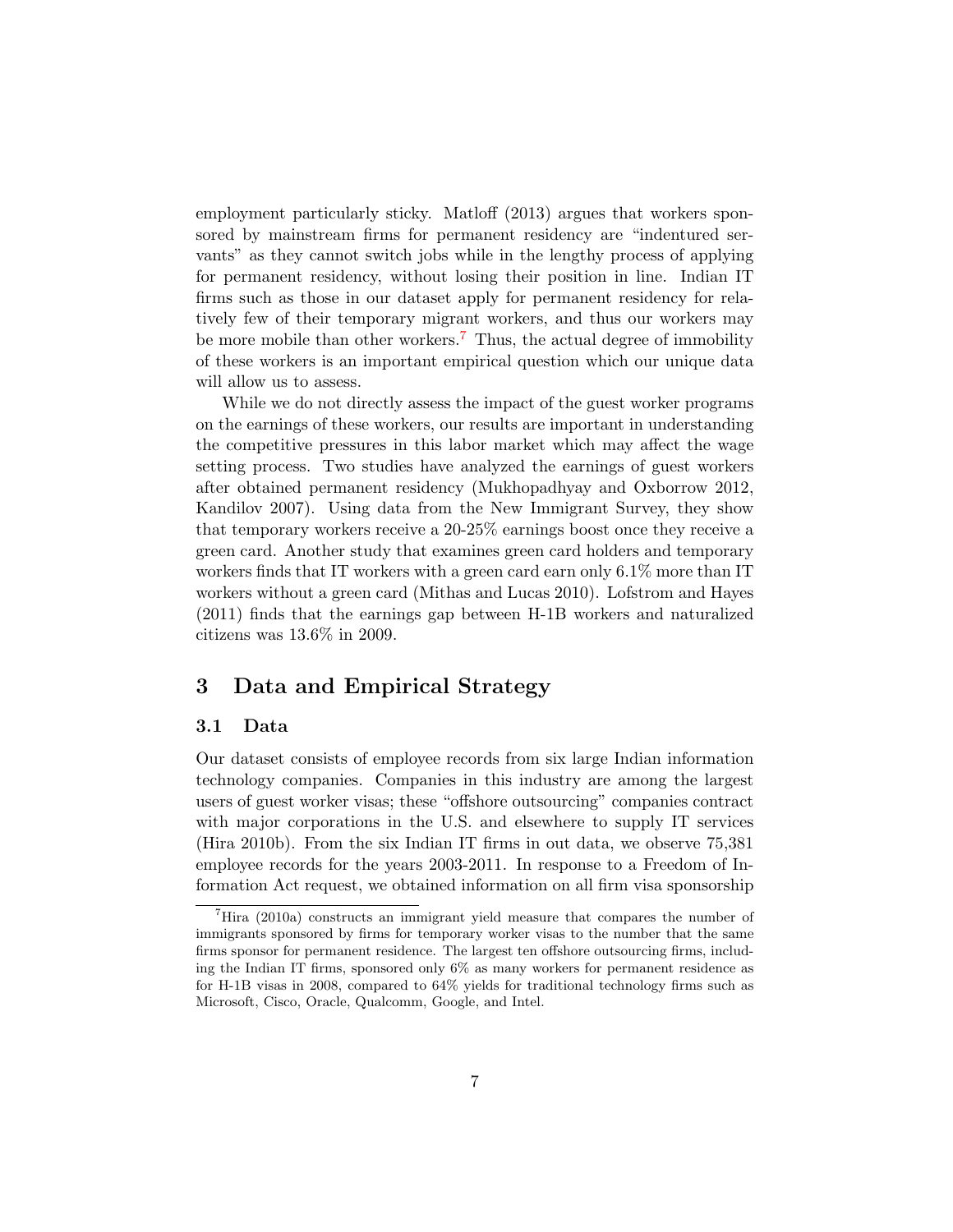employment particularly sticky. Matloff (2013) argues that workers sponsored by mainstream firms for permanent residency are "indentured servants" as they cannot switch jobs while in the lengthy process of applying for permanent residency, without losing their position in line. Indian IT firms such as those in our dataset apply for permanent residency for relatively few of their temporary migrant workers, and thus our workers may be more mobile than other workers.<sup>[7](#page-0-0)</sup> Thus, the actual degree of immobility of these workers is an important empirical question which our unique data will allow us to assess.

While we do not directly assess the impact of the guest worker programs on the earnings of these workers, our results are important in understanding the competitive pressures in this labor market which may affect the wage setting process. Two studies have analyzed the earnings of guest workers after obtained permanent residency (Mukhopadhyay and Oxborrow 2012, Kandilov 2007). Using data from the New Immigrant Survey, they show that temporary workers receive a 20-25% earnings boost once they receive a green card. Another study that examines green card holders and temporary workers finds that IT workers with a green card earn only 6.1% more than IT workers without a green card (Mithas and Lucas 2010). Lofstrom and Hayes (2011) finds that the earnings gap between H-1B workers and naturalized citizens was 13.6% in 2009.

# 3 Data and Empirical Strategy

#### 3.1 Data

Our dataset consists of employee records from six large Indian information technology companies. Companies in this industry are among the largest users of guest worker visas; these "offshore outsourcing" companies contract with major corporations in the U.S. and elsewhere to supply IT services (Hira 2010b). From the six Indian IT firms in out data, we observe 75,381 employee records for the years 2003-2011. In response to a Freedom of Information Act request, we obtained information on all firm visa sponsorship

 ${}^{7}$ Hira (2010a) constructs an immigrant yield measure that compares the number of immigrants sponsored by firms for temporary worker visas to the number that the same firms sponsor for permanent residence. The largest ten offshore outsourcing firms, including the Indian IT firms, sponsored only 6% as many workers for permanent residence as for H-1B visas in 2008, compared to 64% yields for traditional technology firms such as Microsoft, Cisco, Oracle, Qualcomm, Google, and Intel.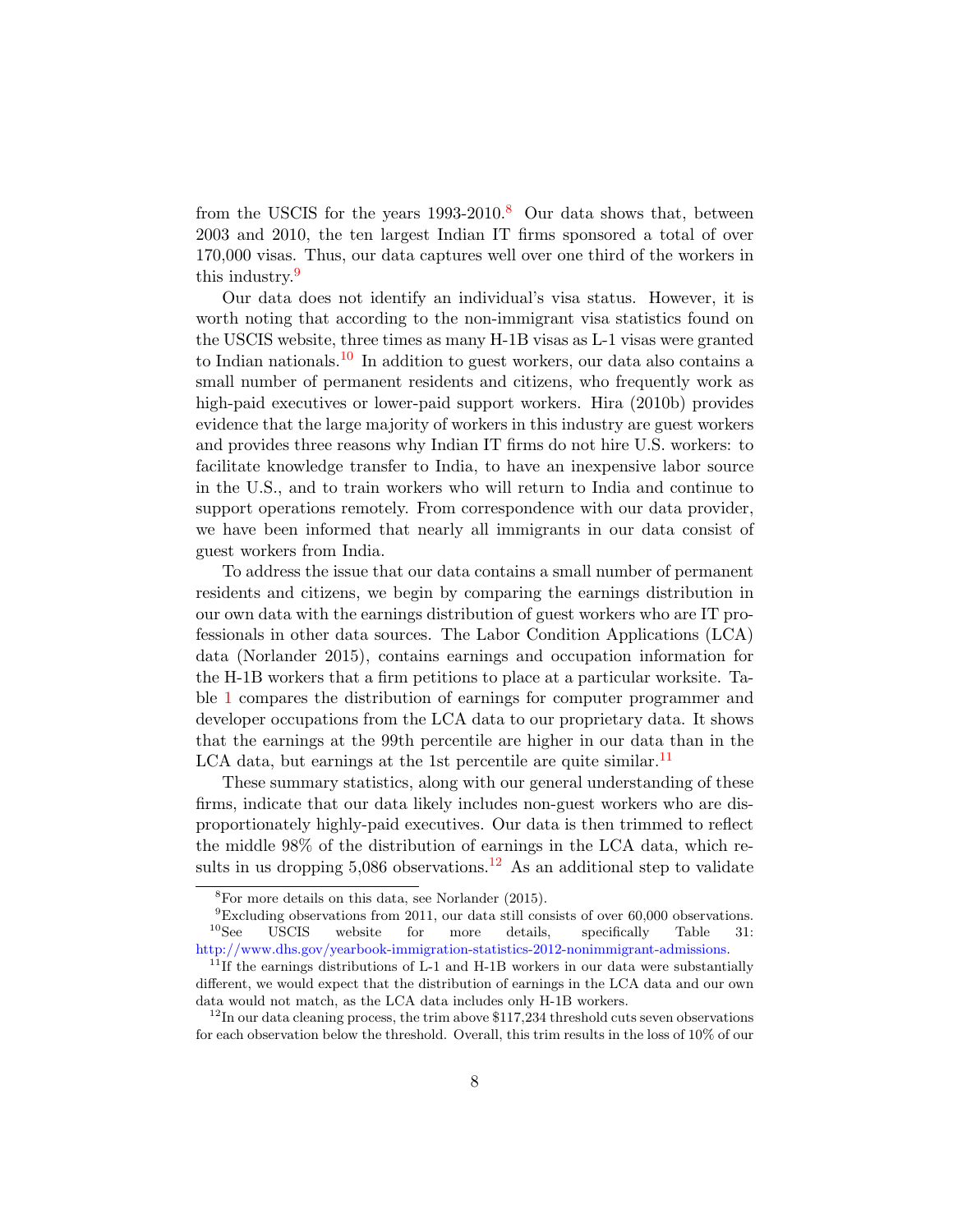from the USCIS for the years  $1993-2010$ .<sup>[8](#page-0-0)</sup> Our data shows that, between 2003 and 2010, the ten largest Indian IT firms sponsored a total of over 170,000 visas. Thus, our data captures well over one third of the workers in this industry.<sup>[9](#page-0-0)</sup>

Our data does not identify an individual's visa status. However, it is worth noting that according to the non-immigrant visa statistics found on the USCIS website, three times as many H-1B visas as L-1 visas were granted to Indian nationals.<sup>[10](#page-0-0)</sup> In addition to guest workers, our data also contains a small number of permanent residents and citizens, who frequently work as high-paid executives or lower-paid support workers. Hira (2010b) provides evidence that the large majority of workers in this industry are guest workers and provides three reasons why Indian IT firms do not hire U.S. workers: to facilitate knowledge transfer to India, to have an inexpensive labor source in the U.S., and to train workers who will return to India and continue to support operations remotely. From correspondence with our data provider, we have been informed that nearly all immigrants in our data consist of guest workers from India.

To address the issue that our data contains a small number of permanent residents and citizens, we begin by comparing the earnings distribution in our own data with the earnings distribution of guest workers who are IT professionals in other data sources. The Labor Condition Applications (LCA) data (Norlander 2015), contains earnings and occupation information for the H-1B workers that a firm petitions to place at a particular worksite. Table [1](#page-23-0) compares the distribution of earnings for computer programmer and developer occupations from the LCA data to our proprietary data. It shows that the earnings at the 99th percentile are higher in our data than in the LCA data, but earnings at the 1st percentile are quite similar.<sup>[11](#page-0-0)</sup>

These summary statistics, along with our general understanding of these firms, indicate that our data likely includes non-guest workers who are disproportionately highly-paid executives. Our data is then trimmed to reflect the middle 98% of the distribution of earnings in the LCA data, which results in us dropping  $5,086$  observations.<sup>[12](#page-0-0)</sup> As an additional step to validate

 ${}^{8}$ For more details on this data, see Norlander (2015).

 $^{9}$ Excluding observations from 2011, our data still consists of over 60,000 observations.<br><sup>10</sup>See USCIS website for more details, specifically Table 31: USCIS website for more details, specifically Table 31: [http://www.dhs.gov/yearbook-immigration-statistics-2012-nonimmigrant-admissions.](http://www.dhs.gov/yearbook-immigration-statistics-2012-nonimmigrant-admissions)

 $11$ If the earnings distributions of L-1 and H-1B workers in our data were substantially different, we would expect that the distribution of earnings in the LCA data and our own data would not match, as the LCA data includes only H-1B workers.

 $12$ In our data cleaning process, the trim above \$117,234 threshold cuts seven observations for each observation below the threshold. Overall, this trim results in the loss of 10% of our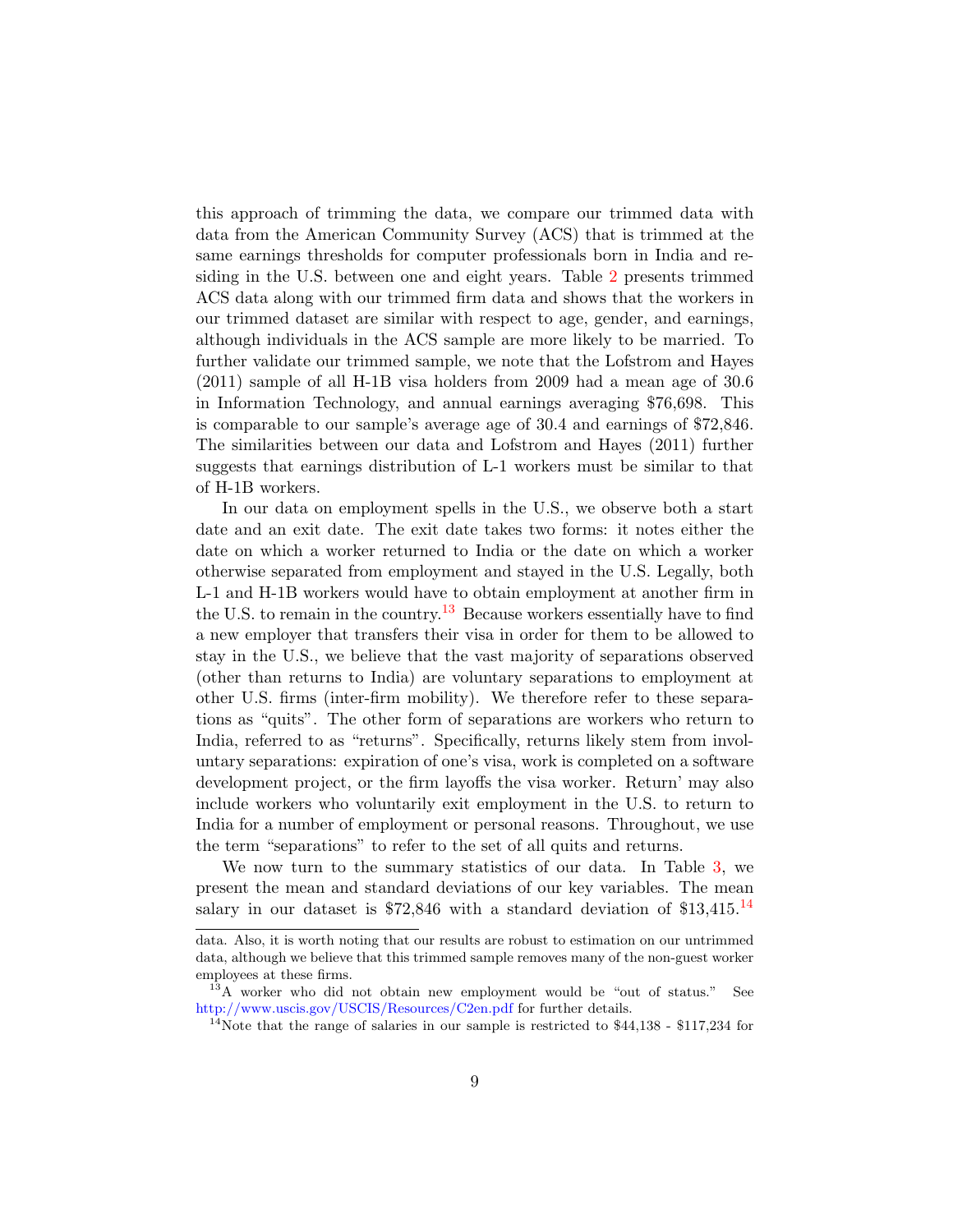this approach of trimming the data, we compare our trimmed data with data from the American Community Survey (ACS) that is trimmed at the same earnings thresholds for computer professionals born in India and residing in the U.S. between one and eight years. Table [2](#page-24-0) presents trimmed ACS data along with our trimmed firm data and shows that the workers in our trimmed dataset are similar with respect to age, gender, and earnings, although individuals in the ACS sample are more likely to be married. To further validate our trimmed sample, we note that the Lofstrom and Hayes (2011) sample of all H-1B visa holders from 2009 had a mean age of 30.6 in Information Technology, and annual earnings averaging \$76,698. This is comparable to our sample's average age of 30.4 and earnings of \$72,846. The similarities between our data and Lofstrom and Hayes (2011) further suggests that earnings distribution of L-1 workers must be similar to that of H-1B workers.

In our data on employment spells in the U.S., we observe both a start date and an exit date. The exit date takes two forms: it notes either the date on which a worker returned to India or the date on which a worker otherwise separated from employment and stayed in the U.S. Legally, both L-1 and H-1B workers would have to obtain employment at another firm in the U.S. to remain in the country.<sup>[13](#page-0-0)</sup> Because workers essentially have to find a new employer that transfers their visa in order for them to be allowed to stay in the U.S., we believe that the vast majority of separations observed (other than returns to India) are voluntary separations to employment at other U.S. firms (inter-firm mobility). We therefore refer to these separations as "quits". The other form of separations are workers who return to India, referred to as "returns". Specifically, returns likely stem from involuntary separations: expiration of one's visa, work is completed on a software development project, or the firm layoffs the visa worker. Return' may also include workers who voluntarily exit employment in the U.S. to return to India for a number of employment or personal reasons. Throughout, we use the term "separations" to refer to the set of all quits and returns.

We now turn to the summary statistics of our data. In Table [3,](#page-24-1) we present the mean and standard deviations of our key variables. The mean salary in our dataset is  $$72,846$  with a standard deviation of  $$13,415$ .<sup>[14](#page-0-0)</sup>

data. Also, it is worth noting that our results are robust to estimation on our untrimmed data, although we believe that this trimmed sample removes many of the non-guest worker employees at these firms.

<sup>&</sup>lt;sup>13</sup>A worker who did not obtain new employment would be "out of status." See <http://www.uscis.gov/USCIS/Resources/C2en.pdf> for further details.

 $14$ Note that the range of salaries in our sample is restricted to \$44,138 - \$117,234 for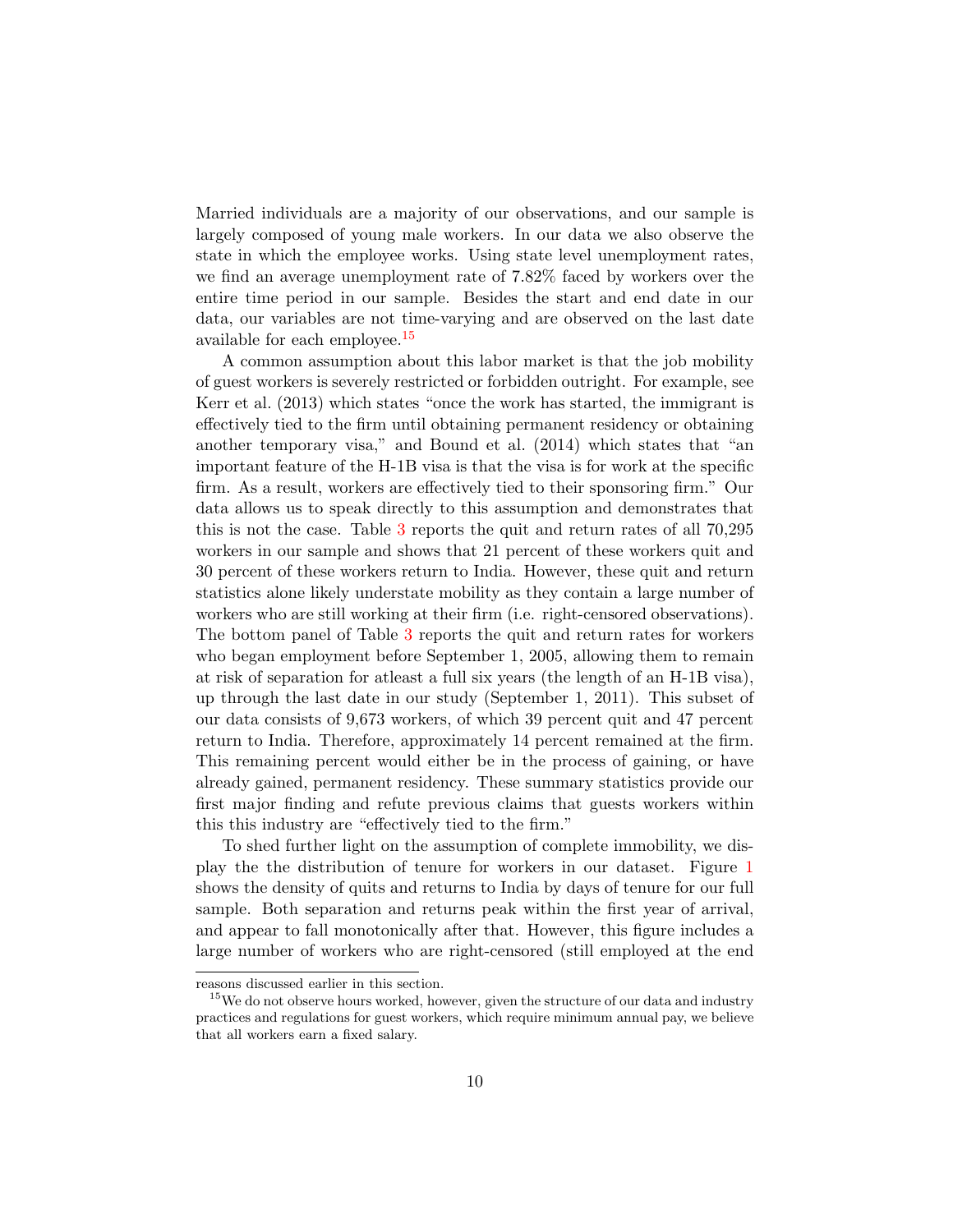Married individuals are a majority of our observations, and our sample is largely composed of young male workers. In our data we also observe the state in which the employee works. Using state level unemployment rates, we find an average unemployment rate of 7.82% faced by workers over the entire time period in our sample. Besides the start and end date in our data, our variables are not time-varying and are observed on the last date available for each employee.<sup>[15](#page-0-0)</sup>

A common assumption about this labor market is that the job mobility of guest workers is severely restricted or forbidden outright. For example, see Kerr et al. (2013) which states "once the work has started, the immigrant is effectively tied to the firm until obtaining permanent residency or obtaining another temporary visa," and Bound et al. (2014) which states that "an important feature of the H-1B visa is that the visa is for work at the specific firm. As a result, workers are effectively tied to their sponsoring firm." Our data allows us to speak directly to this assumption and demonstrates that this is not the case. Table [3](#page-24-1) reports the quit and return rates of all 70,295 workers in our sample and shows that 21 percent of these workers quit and 30 percent of these workers return to India. However, these quit and return statistics alone likely understate mobility as they contain a large number of workers who are still working at their firm (i.e. right-censored observations). The bottom panel of Table [3](#page-24-1) reports the quit and return rates for workers who began employment before September 1, 2005, allowing them to remain at risk of separation for atleast a full six years (the length of an H-1B visa), up through the last date in our study (September 1, 2011). This subset of our data consists of 9,673 workers, of which 39 percent quit and 47 percent return to India. Therefore, approximately 14 percent remained at the firm. This remaining percent would either be in the process of gaining, or have already gained, permanent residency. These summary statistics provide our first major finding and refute previous claims that guests workers within this this industry are "effectively tied to the firm."

To shed further light on the assumption of complete immobility, we display the the distribution of tenure for workers in our dataset. Figure [1](#page-27-0) shows the density of quits and returns to India by days of tenure for our full sample. Both separation and returns peak within the first year of arrival, and appear to fall monotonically after that. However, this figure includes a large number of workers who are right-censored (still employed at the end

reasons discussed earlier in this section.

<sup>&</sup>lt;sup>15</sup>We do not observe hours worked, however, given the structure of our data and industry practices and regulations for guest workers, which require minimum annual pay, we believe that all workers earn a fixed salary.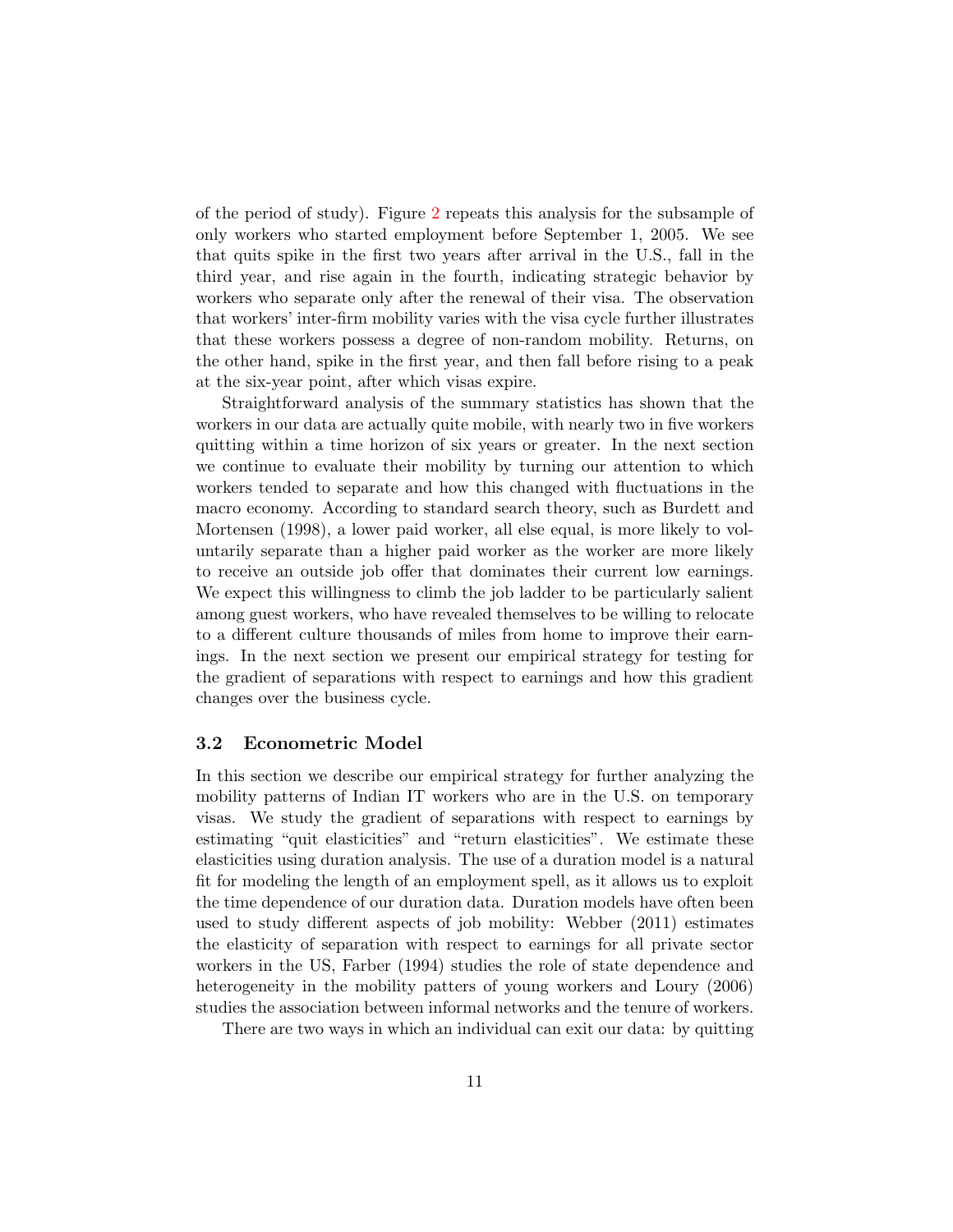of the period of study). Figure [2](#page-28-0) repeats this analysis for the subsample of only workers who started employment before September 1, 2005. We see that quits spike in the first two years after arrival in the U.S., fall in the third year, and rise again in the fourth, indicating strategic behavior by workers who separate only after the renewal of their visa. The observation that workers' inter-firm mobility varies with the visa cycle further illustrates that these workers possess a degree of non-random mobility. Returns, on the other hand, spike in the first year, and then fall before rising to a peak at the six-year point, after which visas expire.

Straightforward analysis of the summary statistics has shown that the workers in our data are actually quite mobile, with nearly two in five workers quitting within a time horizon of six years or greater. In the next section we continue to evaluate their mobility by turning our attention to which workers tended to separate and how this changed with fluctuations in the macro economy. According to standard search theory, such as Burdett and Mortensen (1998), a lower paid worker, all else equal, is more likely to voluntarily separate than a higher paid worker as the worker are more likely to receive an outside job offer that dominates their current low earnings. We expect this willingness to climb the job ladder to be particularly salient among guest workers, who have revealed themselves to be willing to relocate to a different culture thousands of miles from home to improve their earnings. In the next section we present our empirical strategy for testing for the gradient of separations with respect to earnings and how this gradient changes over the business cycle.

#### 3.2 Econometric Model

In this section we describe our empirical strategy for further analyzing the mobility patterns of Indian IT workers who are in the U.S. on temporary visas. We study the gradient of separations with respect to earnings by estimating "quit elasticities" and "return elasticities". We estimate these elasticities using duration analysis. The use of a duration model is a natural fit for modeling the length of an employment spell, as it allows us to exploit the time dependence of our duration data. Duration models have often been used to study different aspects of job mobility: Webber (2011) estimates the elasticity of separation with respect to earnings for all private sector workers in the US, Farber (1994) studies the role of state dependence and heterogeneity in the mobility patters of young workers and Loury (2006) studies the association between informal networks and the tenure of workers.

There are two ways in which an individual can exit our data: by quitting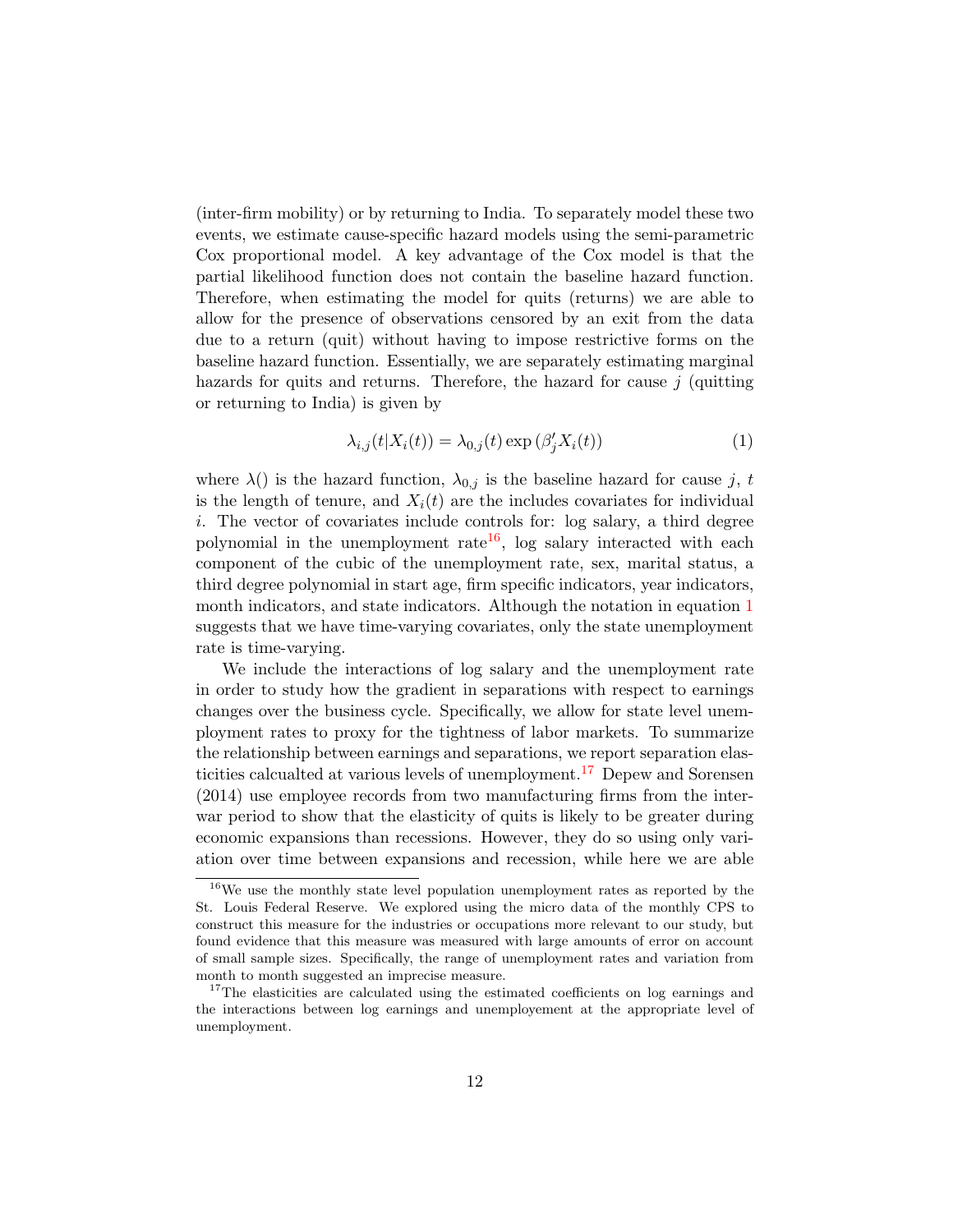(inter-firm mobility) or by returning to India. To separately model these two events, we estimate cause-specific hazard models using the semi-parametric Cox proportional model. A key advantage of the Cox model is that the partial likelihood function does not contain the baseline hazard function. Therefore, when estimating the model for quits (returns) we are able to allow for the presence of observations censored by an exit from the data due to a return (quit) without having to impose restrictive forms on the baseline hazard function. Essentially, we are separately estimating marginal hazards for quits and returns. Therefore, the hazard for cause  $j$  (quitting or returning to India) is given by

<span id="page-11-0"></span>
$$
\lambda_{i,j}(t|X_i(t)) = \lambda_{0,j}(t) \exp\left(\beta_j' X_i(t)\right) \tag{1}
$$

where  $\lambda()$  is the hazard function,  $\lambda_{0,j}$  is the baseline hazard for cause j, t is the length of tenure, and  $X_i(t)$  are the includes covariates for individual i. The vector of covariates include controls for: log salary, a third degree polynomial in the unemployment rate<sup>[16](#page-0-0)</sup>, log salary interacted with each component of the cubic of the unemployment rate, sex, marital status, a third degree polynomial in start age, firm specific indicators, year indicators, month indicators, and state indicators. Although the notation in equation [1](#page-11-0) suggests that we have time-varying covariates, only the state unemployment rate is time-varying.

We include the interactions of log salary and the unemployment rate in order to study how the gradient in separations with respect to earnings changes over the business cycle. Specifically, we allow for state level unemployment rates to proxy for the tightness of labor markets. To summarize the relationship between earnings and separations, we report separation elas-ticities calcualted at various levels of unemployment.<sup>[17](#page-0-0)</sup> Depew and Sorensen (2014) use employee records from two manufacturing firms from the interwar period to show that the elasticity of quits is likely to be greater during economic expansions than recessions. However, they do so using only variation over time between expansions and recession, while here we are able

<sup>16</sup>We use the monthly state level population unemployment rates as reported by the St. Louis Federal Reserve. We explored using the micro data of the monthly CPS to construct this measure for the industries or occupations more relevant to our study, but found evidence that this measure was measured with large amounts of error on account of small sample sizes. Specifically, the range of unemployment rates and variation from month to month suggested an imprecise measure.

 $17$ The elasticities are calculated using the estimated coefficients on log earnings and the interactions between log earnings and unemployement at the appropriate level of unemployment.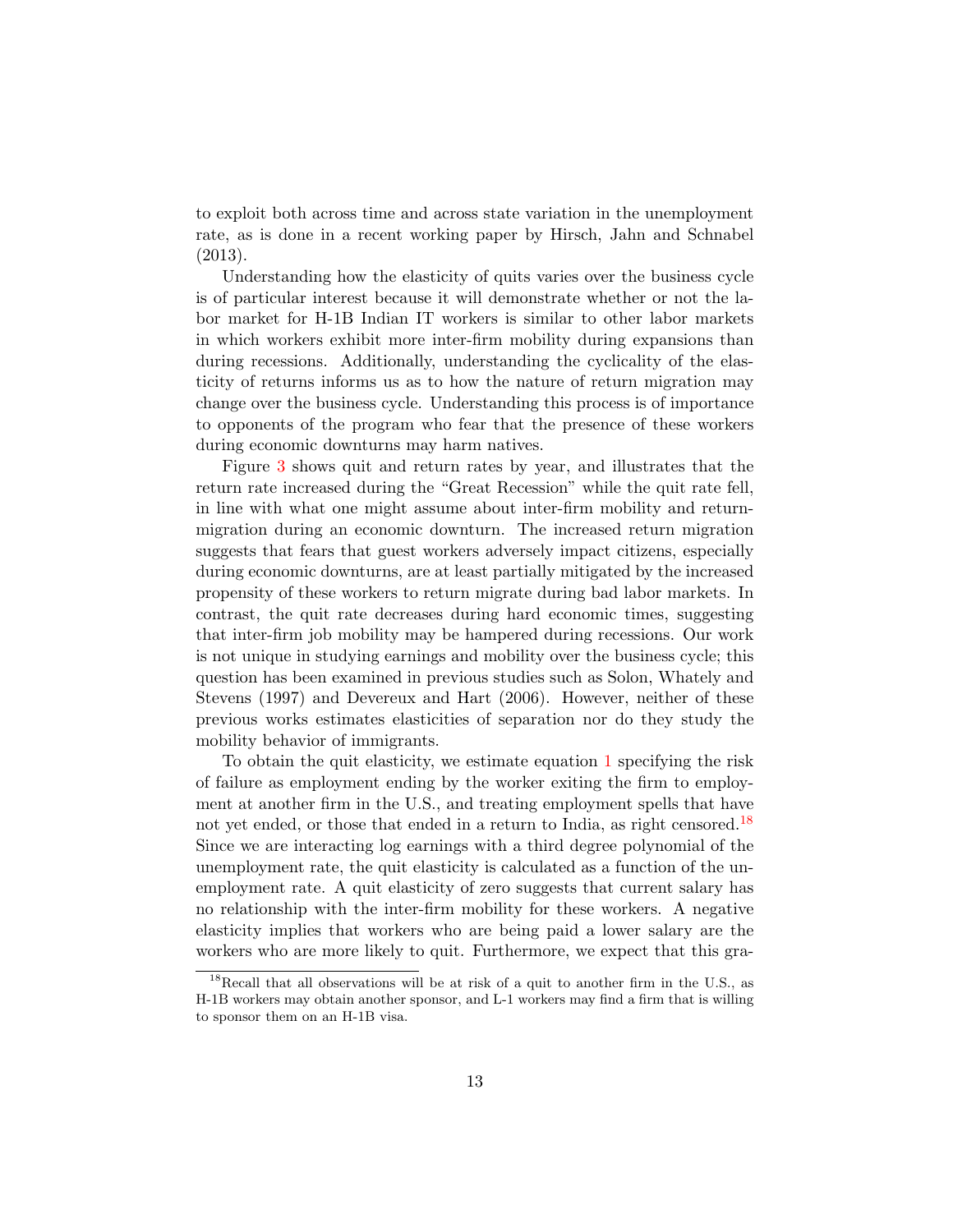to exploit both across time and across state variation in the unemployment rate, as is done in a recent working paper by Hirsch, Jahn and Schnabel (2013).

Understanding how the elasticity of quits varies over the business cycle is of particular interest because it will demonstrate whether or not the labor market for H-1B Indian IT workers is similar to other labor markets in which workers exhibit more inter-firm mobility during expansions than during recessions. Additionally, understanding the cyclicality of the elasticity of returns informs us as to how the nature of return migration may change over the business cycle. Understanding this process is of importance to opponents of the program who fear that the presence of these workers during economic downturns may harm natives.

Figure [3](#page-29-0) shows quit and return rates by year, and illustrates that the return rate increased during the "Great Recession" while the quit rate fell, in line with what one might assume about inter-firm mobility and returnmigration during an economic downturn. The increased return migration suggests that fears that guest workers adversely impact citizens, especially during economic downturns, are at least partially mitigated by the increased propensity of these workers to return migrate during bad labor markets. In contrast, the quit rate decreases during hard economic times, suggesting that inter-firm job mobility may be hampered during recessions. Our work is not unique in studying earnings and mobility over the business cycle; this question has been examined in previous studies such as Solon, Whately and Stevens (1997) and Devereux and Hart (2006). However, neither of these previous works estimates elasticities of separation nor do they study the mobility behavior of immigrants.

To obtain the quit elasticity, we estimate equation [1](#page-11-0) specifying the risk of failure as employment ending by the worker exiting the firm to employment at another firm in the U.S., and treating employment spells that have not yet ended, or those that ended in a return to India, as right censored.<sup>[18](#page-0-0)</sup> Since we are interacting log earnings with a third degree polynomial of the unemployment rate, the quit elasticity is calculated as a function of the unemployment rate. A quit elasticity of zero suggests that current salary has no relationship with the inter-firm mobility for these workers. A negative elasticity implies that workers who are being paid a lower salary are the workers who are more likely to quit. Furthermore, we expect that this gra-

<sup>&</sup>lt;sup>18</sup>Recall that all observations will be at risk of a quit to another firm in the U.S., as H-1B workers may obtain another sponsor, and L-1 workers may find a firm that is willing to sponsor them on an H-1B visa.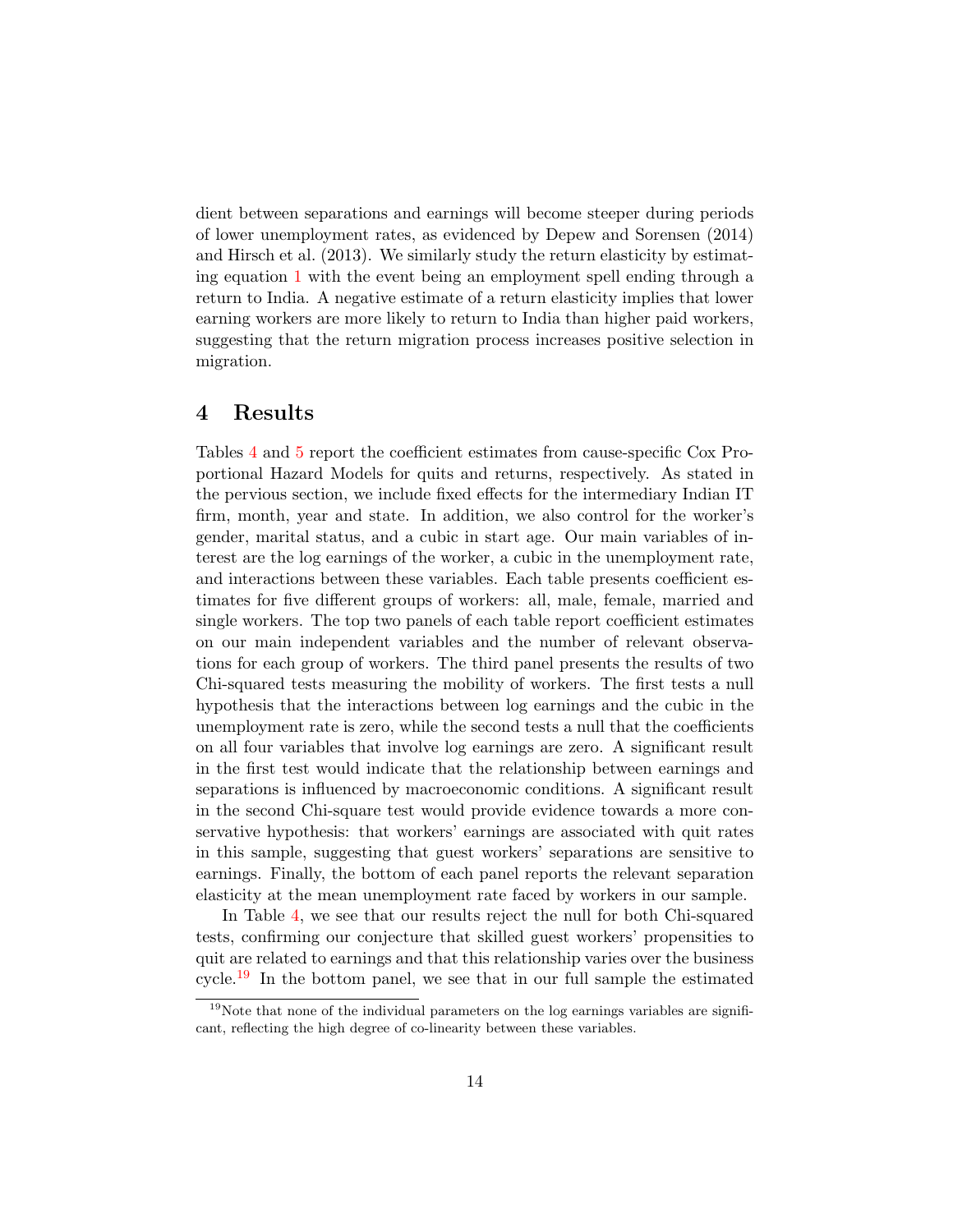dient between separations and earnings will become steeper during periods of lower unemployment rates, as evidenced by Depew and Sorensen (2014) and Hirsch et al. (2013). We similarly study the return elasticity by estimating equation [1](#page-11-0) with the event being an employment spell ending through a return to India. A negative estimate of a return elasticity implies that lower earning workers are more likely to return to India than higher paid workers, suggesting that the return migration process increases positive selection in migration.

## 4 Results

Tables [4](#page-25-0) and [5](#page-26-0) report the coefficient estimates from cause-specific Cox Proportional Hazard Models for quits and returns, respectively. As stated in the pervious section, we include fixed effects for the intermediary Indian IT firm, month, year and state. In addition, we also control for the worker's gender, marital status, and a cubic in start age. Our main variables of interest are the log earnings of the worker, a cubic in the unemployment rate, and interactions between these variables. Each table presents coefficient estimates for five different groups of workers: all, male, female, married and single workers. The top two panels of each table report coefficient estimates on our main independent variables and the number of relevant observations for each group of workers. The third panel presents the results of two Chi-squared tests measuring the mobility of workers. The first tests a null hypothesis that the interactions between log earnings and the cubic in the unemployment rate is zero, while the second tests a null that the coefficients on all four variables that involve log earnings are zero. A significant result in the first test would indicate that the relationship between earnings and separations is influenced by macroeconomic conditions. A significant result in the second Chi-square test would provide evidence towards a more conservative hypothesis: that workers' earnings are associated with quit rates in this sample, suggesting that guest workers' separations are sensitive to earnings. Finally, the bottom of each panel reports the relevant separation elasticity at the mean unemployment rate faced by workers in our sample.

In Table [4,](#page-25-0) we see that our results reject the null for both Chi-squared tests, confirming our conjecture that skilled guest workers' propensities to quit are related to earnings and that this relationship varies over the business cycle.<sup>[19](#page-0-0)</sup> In the bottom panel, we see that in our full sample the estimated

 $19$ Note that none of the individual parameters on the log earnings variables are significant, reflecting the high degree of co-linearity between these variables.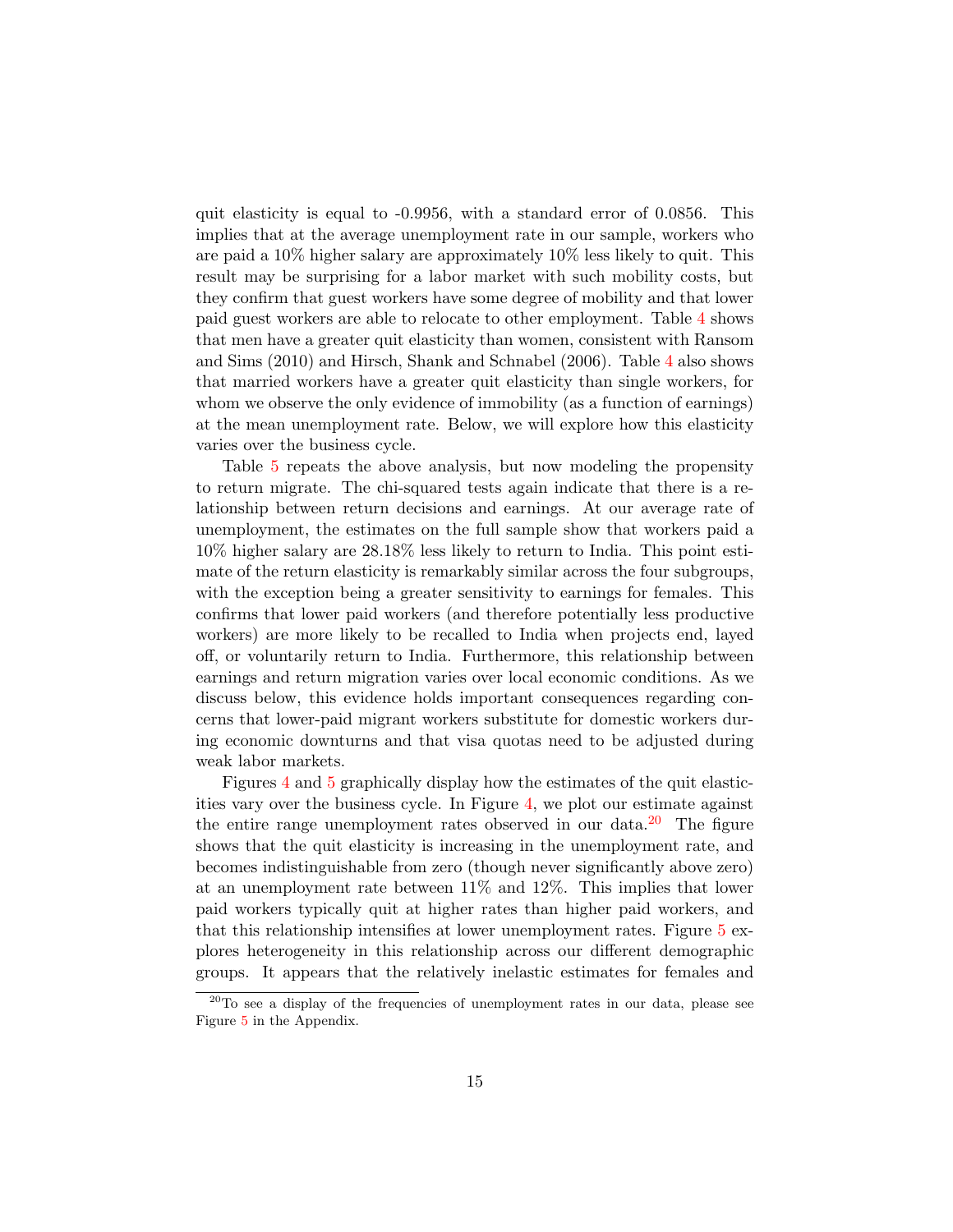quit elasticity is equal to -0.9956, with a standard error of 0.0856. This implies that at the average unemployment rate in our sample, workers who are paid a 10% higher salary are approximately 10% less likely to quit. This result may be surprising for a labor market with such mobility costs, but they confirm that guest workers have some degree of mobility and that lower paid guest workers are able to relocate to other employment. Table [4](#page-25-0) shows that men have a greater quit elasticity than women, consistent with Ransom and Sims (2010) and Hirsch, Shank and Schnabel (2006). Table [4](#page-25-0) also shows that married workers have a greater quit elasticity than single workers, for whom we observe the only evidence of immobility (as a function of earnings) at the mean unemployment rate. Below, we will explore how this elasticity varies over the business cycle.

Table [5](#page-26-0) repeats the above analysis, but now modeling the propensity to return migrate. The chi-squared tests again indicate that there is a relationship between return decisions and earnings. At our average rate of unemployment, the estimates on the full sample show that workers paid a 10% higher salary are 28.18% less likely to return to India. This point estimate of the return elasticity is remarkably similar across the four subgroups, with the exception being a greater sensitivity to earnings for females. This confirms that lower paid workers (and therefore potentially less productive workers) are more likely to be recalled to India when projects end, layed off, or voluntarily return to India. Furthermore, this relationship between earnings and return migration varies over local economic conditions. As we discuss below, this evidence holds important consequences regarding concerns that lower-paid migrant workers substitute for domestic workers during economic downturns and that visa quotas need to be adjusted during weak labor markets.

Figures [4](#page-30-0) and [5](#page-31-0) graphically display how the estimates of the quit elasticities vary over the business cycle. In Figure [4,](#page-30-0) we plot our estimate against the entire range unemployment rates observed in our data.<sup>[20](#page-0-0)</sup> The figure shows that the quit elasticity is increasing in the unemployment rate, and becomes indistinguishable from zero (though never significantly above zero) at an unemployment rate between 11% and 12%. This implies that lower paid workers typically quit at higher rates than higher paid workers, and that this relationship intensifies at lower unemployment rates. Figure [5](#page-31-0) explores heterogeneity in this relationship across our different demographic groups. It appears that the relatively inelastic estimates for females and

 $^{20}$ To see a display of the frequencies of unemployment rates in our data, please see Figure [5](#page-41-0) in the Appendix.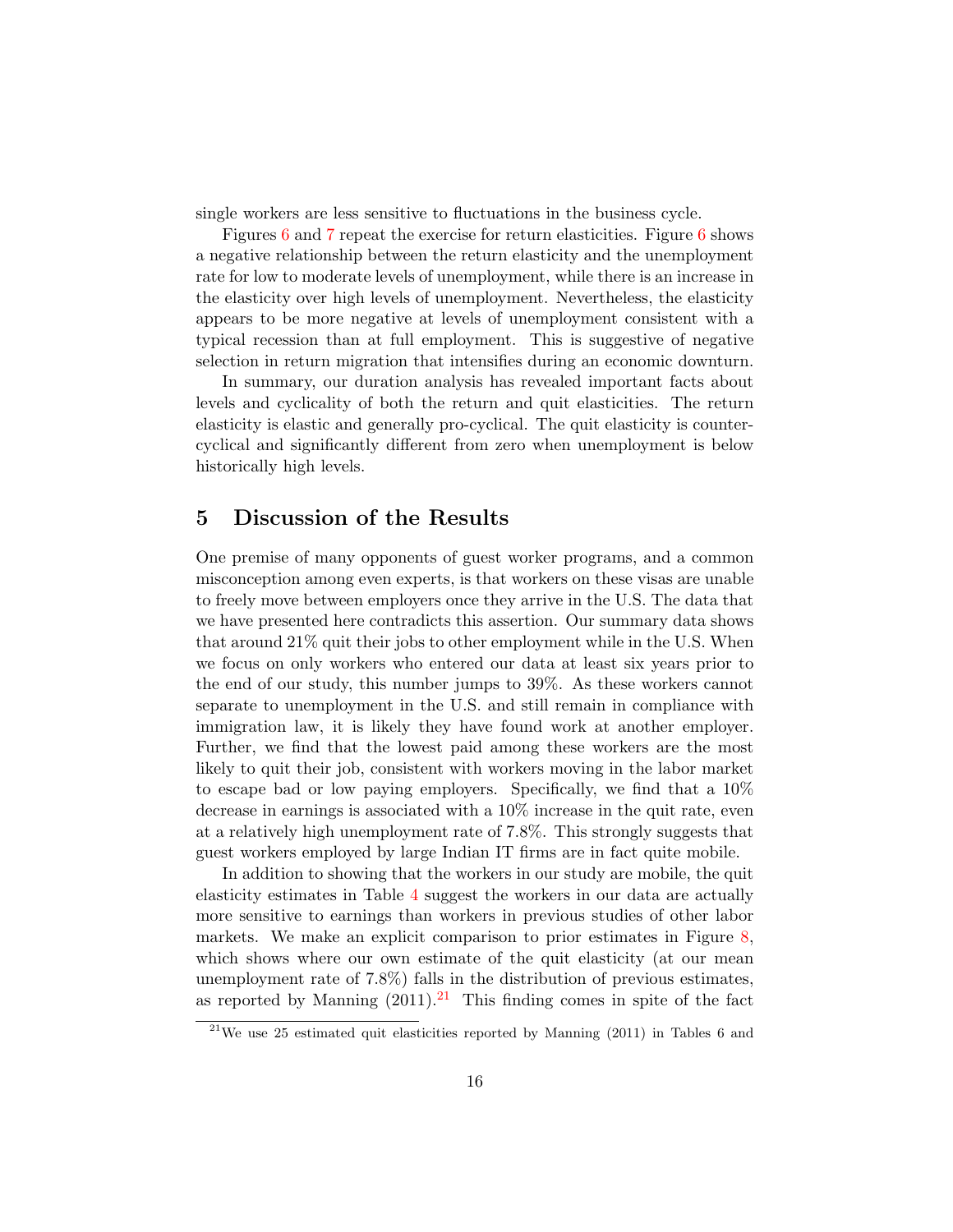single workers are less sensitive to fluctuations in the business cycle.

Figures [6](#page-32-0) and [7](#page-33-0) repeat the exercise for return elasticities. Figure 6 shows a negative relationship between the return elasticity and the unemployment rate for low to moderate levels of unemployment, while there is an increase in the elasticity over high levels of unemployment. Nevertheless, the elasticity appears to be more negative at levels of unemployment consistent with a typical recession than at full employment. This is suggestive of negative selection in return migration that intensifies during an economic downturn.

In summary, our duration analysis has revealed important facts about levels and cyclicality of both the return and quit elasticities. The return elasticity is elastic and generally pro-cyclical. The quit elasticity is countercyclical and significantly different from zero when unemployment is below historically high levels.

## 5 Discussion of the Results

One premise of many opponents of guest worker programs, and a common misconception among even experts, is that workers on these visas are unable to freely move between employers once they arrive in the U.S. The data that we have presented here contradicts this assertion. Our summary data shows that around 21% quit their jobs to other employment while in the U.S. When we focus on only workers who entered our data at least six years prior to the end of our study, this number jumps to 39%. As these workers cannot separate to unemployment in the U.S. and still remain in compliance with immigration law, it is likely they have found work at another employer. Further, we find that the lowest paid among these workers are the most likely to quit their job, consistent with workers moving in the labor market to escape bad or low paying employers. Specifically, we find that a 10% decrease in earnings is associated with a 10% increase in the quit rate, even at a relatively high unemployment rate of 7.8%. This strongly suggests that guest workers employed by large Indian IT firms are in fact quite mobile.

In addition to showing that the workers in our study are mobile, the quit elasticity estimates in Table [4](#page-25-0) suggest the workers in our data are actually more sensitive to earnings than workers in previous studies of other labor markets. We make an explicit comparison to prior estimates in Figure [8,](#page-34-0) which shows where our own estimate of the quit elasticity (at our mean unemployment rate of 7.8%) falls in the distribution of previous estimates, as reported by Manning  $(2011).^{21}$  $(2011).^{21}$  $(2011).^{21}$  This finding comes in spite of the fact

<sup>&</sup>lt;sup>21</sup>We use 25 estimated quit elasticities reported by Manning  $(2011)$  in Tables 6 and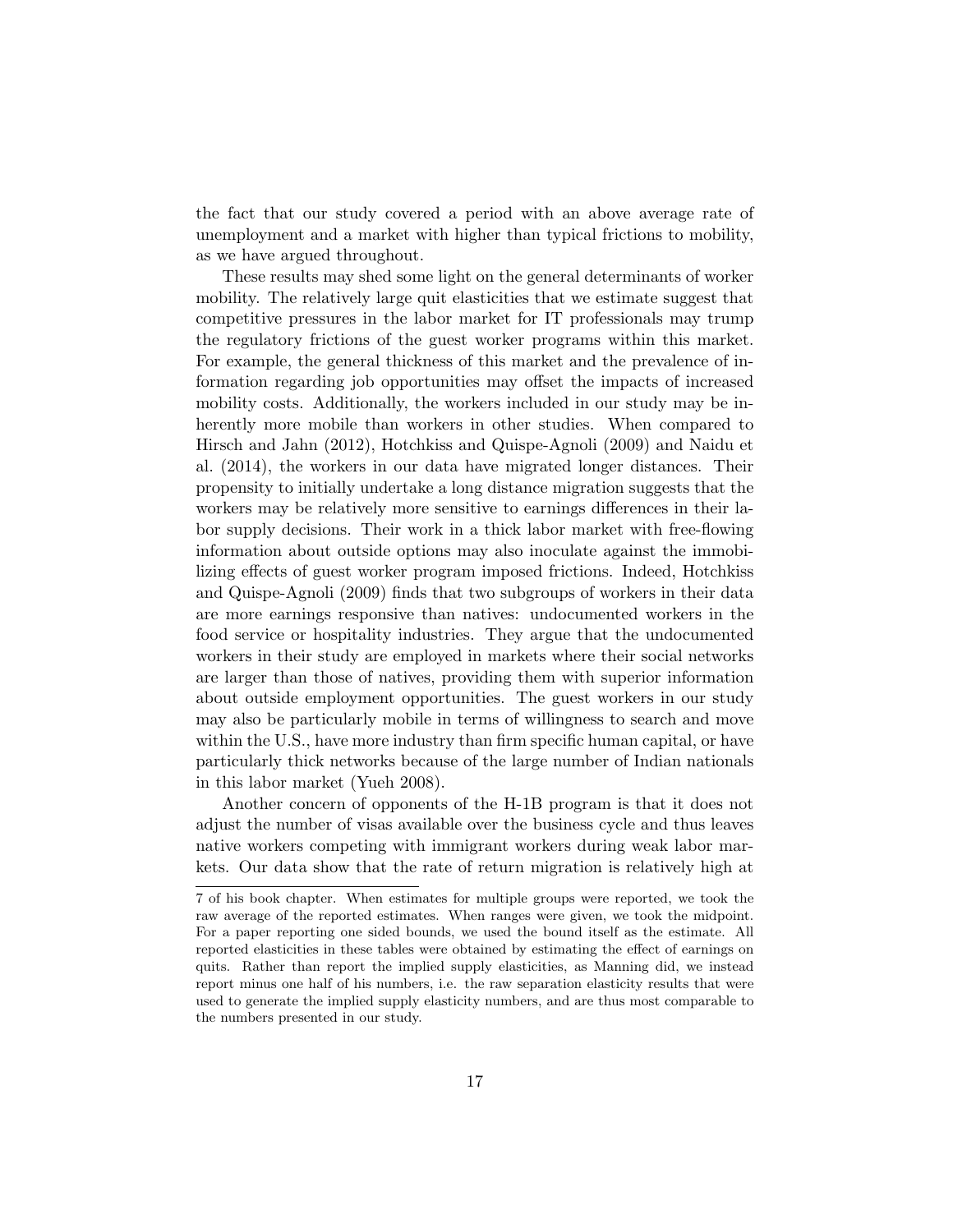the fact that our study covered a period with an above average rate of unemployment and a market with higher than typical frictions to mobility, as we have argued throughout.

These results may shed some light on the general determinants of worker mobility. The relatively large quit elasticities that we estimate suggest that competitive pressures in the labor market for IT professionals may trump the regulatory frictions of the guest worker programs within this market. For example, the general thickness of this market and the prevalence of information regarding job opportunities may offset the impacts of increased mobility costs. Additionally, the workers included in our study may be inherently more mobile than workers in other studies. When compared to Hirsch and Jahn (2012), Hotchkiss and Quispe-Agnoli (2009) and Naidu et al. (2014), the workers in our data have migrated longer distances. Their propensity to initially undertake a long distance migration suggests that the workers may be relatively more sensitive to earnings differences in their labor supply decisions. Their work in a thick labor market with free-flowing information about outside options may also inoculate against the immobilizing effects of guest worker program imposed frictions. Indeed, Hotchkiss and Quispe-Agnoli (2009) finds that two subgroups of workers in their data are more earnings responsive than natives: undocumented workers in the food service or hospitality industries. They argue that the undocumented workers in their study are employed in markets where their social networks are larger than those of natives, providing them with superior information about outside employment opportunities. The guest workers in our study may also be particularly mobile in terms of willingness to search and move within the U.S., have more industry than firm specific human capital, or have particularly thick networks because of the large number of Indian nationals in this labor market (Yueh 2008).

Another concern of opponents of the H-1B program is that it does not adjust the number of visas available over the business cycle and thus leaves native workers competing with immigrant workers during weak labor markets. Our data show that the rate of return migration is relatively high at

<sup>7</sup> of his book chapter. When estimates for multiple groups were reported, we took the raw average of the reported estimates. When ranges were given, we took the midpoint. For a paper reporting one sided bounds, we used the bound itself as the estimate. All reported elasticities in these tables were obtained by estimating the effect of earnings on quits. Rather than report the implied supply elasticities, as Manning did, we instead report minus one half of his numbers, i.e. the raw separation elasticity results that were used to generate the implied supply elasticity numbers, and are thus most comparable to the numbers presented in our study.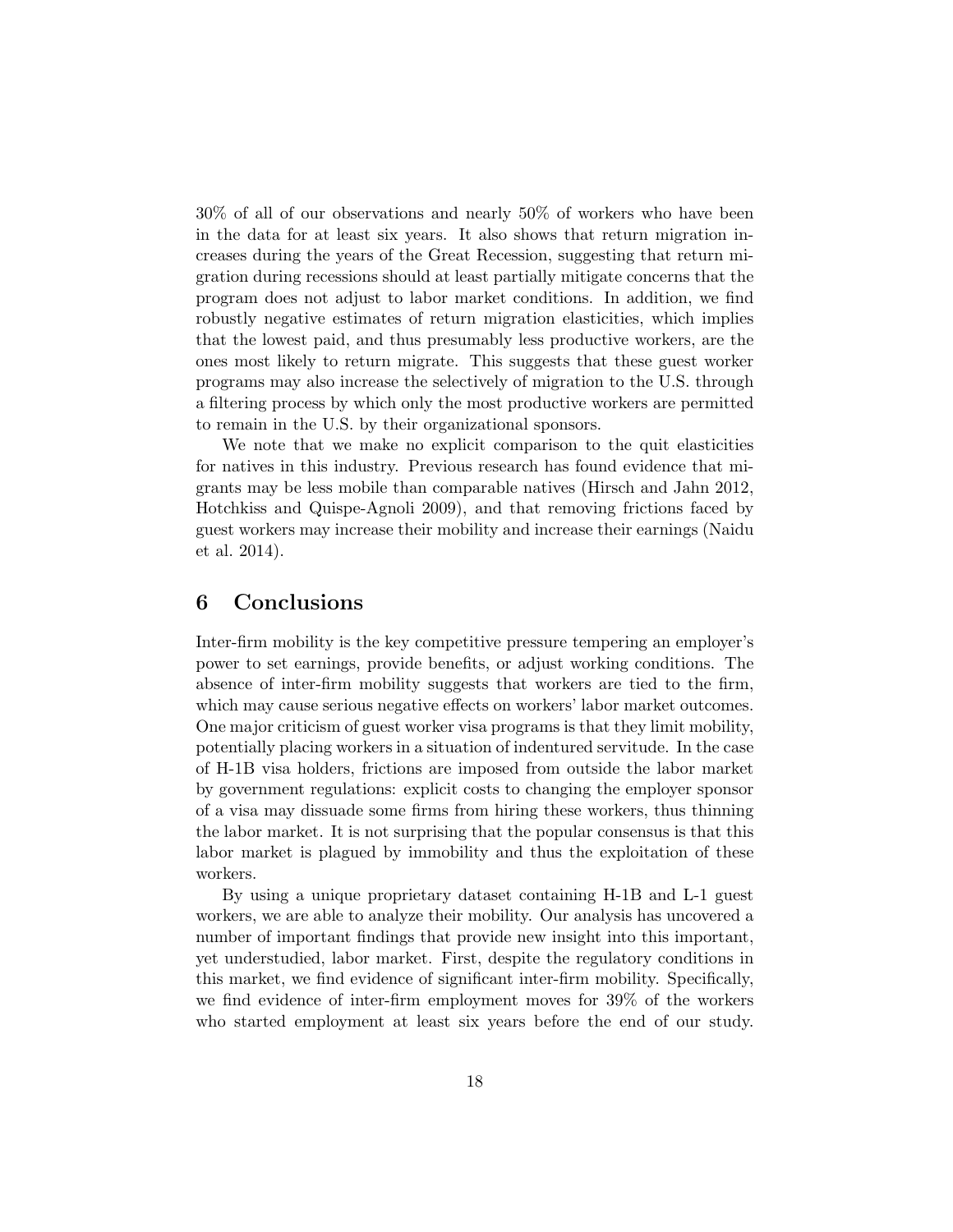30% of all of our observations and nearly 50% of workers who have been in the data for at least six years. It also shows that return migration increases during the years of the Great Recession, suggesting that return migration during recessions should at least partially mitigate concerns that the program does not adjust to labor market conditions. In addition, we find robustly negative estimates of return migration elasticities, which implies that the lowest paid, and thus presumably less productive workers, are the ones most likely to return migrate. This suggests that these guest worker programs may also increase the selectively of migration to the U.S. through a filtering process by which only the most productive workers are permitted to remain in the U.S. by their organizational sponsors.

We note that we make no explicit comparison to the quit elasticities for natives in this industry. Previous research has found evidence that migrants may be less mobile than comparable natives (Hirsch and Jahn 2012, Hotchkiss and Quispe-Agnoli 2009), and that removing frictions faced by guest workers may increase their mobility and increase their earnings (Naidu et al. 2014).

# 6 Conclusions

Inter-firm mobility is the key competitive pressure tempering an employer's power to set earnings, provide benefits, or adjust working conditions. The absence of inter-firm mobility suggests that workers are tied to the firm, which may cause serious negative effects on workers' labor market outcomes. One major criticism of guest worker visa programs is that they limit mobility, potentially placing workers in a situation of indentured servitude. In the case of H-1B visa holders, frictions are imposed from outside the labor market by government regulations: explicit costs to changing the employer sponsor of a visa may dissuade some firms from hiring these workers, thus thinning the labor market. It is not surprising that the popular consensus is that this labor market is plagued by immobility and thus the exploitation of these workers.

By using a unique proprietary dataset containing H-1B and L-1 guest workers, we are able to analyze their mobility. Our analysis has uncovered a number of important findings that provide new insight into this important, yet understudied, labor market. First, despite the regulatory conditions in this market, we find evidence of significant inter-firm mobility. Specifically, we find evidence of inter-firm employment moves for 39% of the workers who started employment at least six years before the end of our study.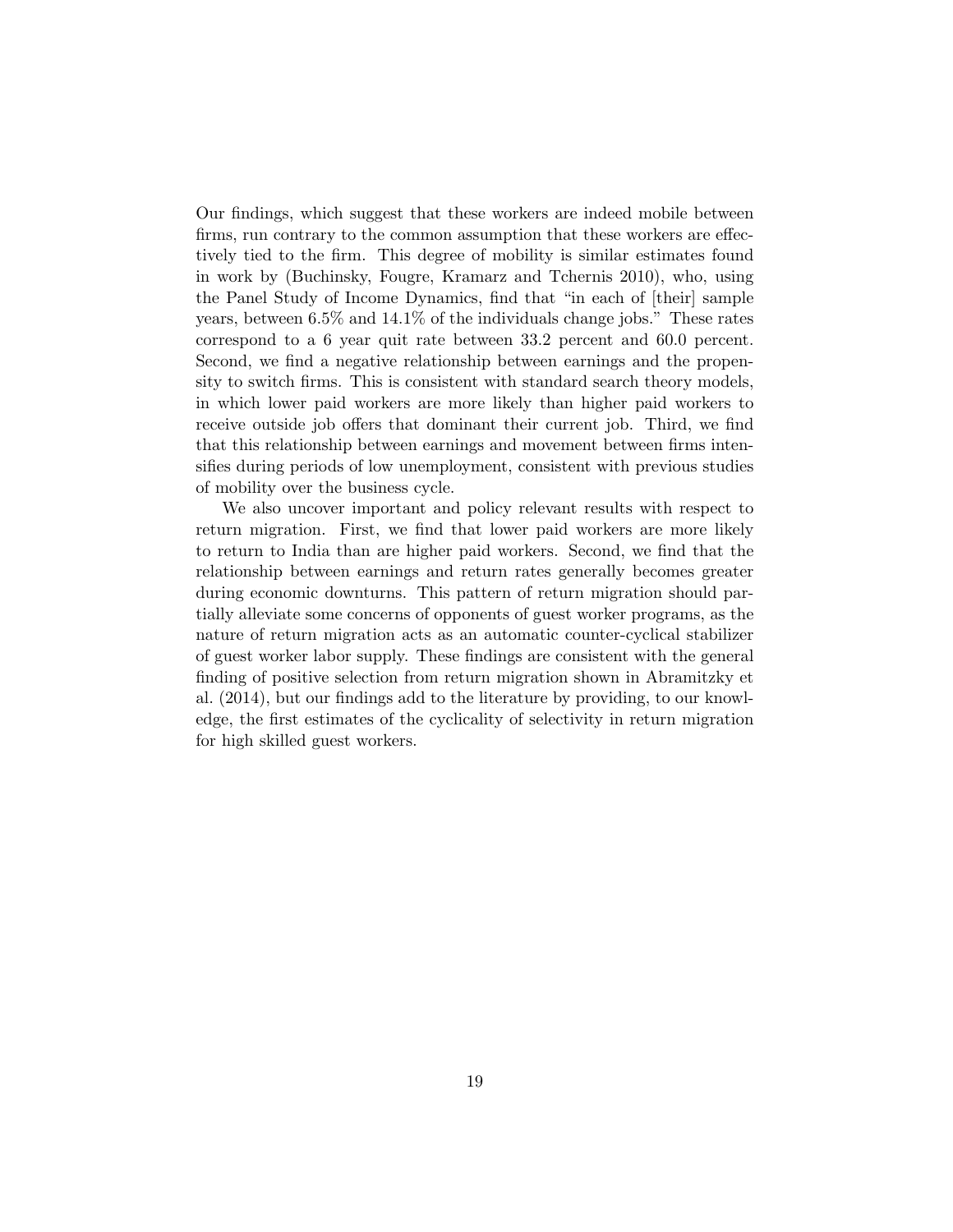Our findings, which suggest that these workers are indeed mobile between firms, run contrary to the common assumption that these workers are effectively tied to the firm. This degree of mobility is similar estimates found in work by (Buchinsky, Fougre, Kramarz and Tchernis 2010), who, using the Panel Study of Income Dynamics, find that "in each of [their] sample years, between 6.5% and 14.1% of the individuals change jobs." These rates correspond to a 6 year quit rate between 33.2 percent and 60.0 percent. Second, we find a negative relationship between earnings and the propensity to switch firms. This is consistent with standard search theory models, in which lower paid workers are more likely than higher paid workers to receive outside job offers that dominant their current job. Third, we find that this relationship between earnings and movement between firms intensifies during periods of low unemployment, consistent with previous studies of mobility over the business cycle.

We also uncover important and policy relevant results with respect to return migration. First, we find that lower paid workers are more likely to return to India than are higher paid workers. Second, we find that the relationship between earnings and return rates generally becomes greater during economic downturns. This pattern of return migration should partially alleviate some concerns of opponents of guest worker programs, as the nature of return migration acts as an automatic counter-cyclical stabilizer of guest worker labor supply. These findings are consistent with the general finding of positive selection from return migration shown in Abramitzky et al. (2014), but our findings add to the literature by providing, to our knowledge, the first estimates of the cyclicality of selectivity in return migration for high skilled guest workers.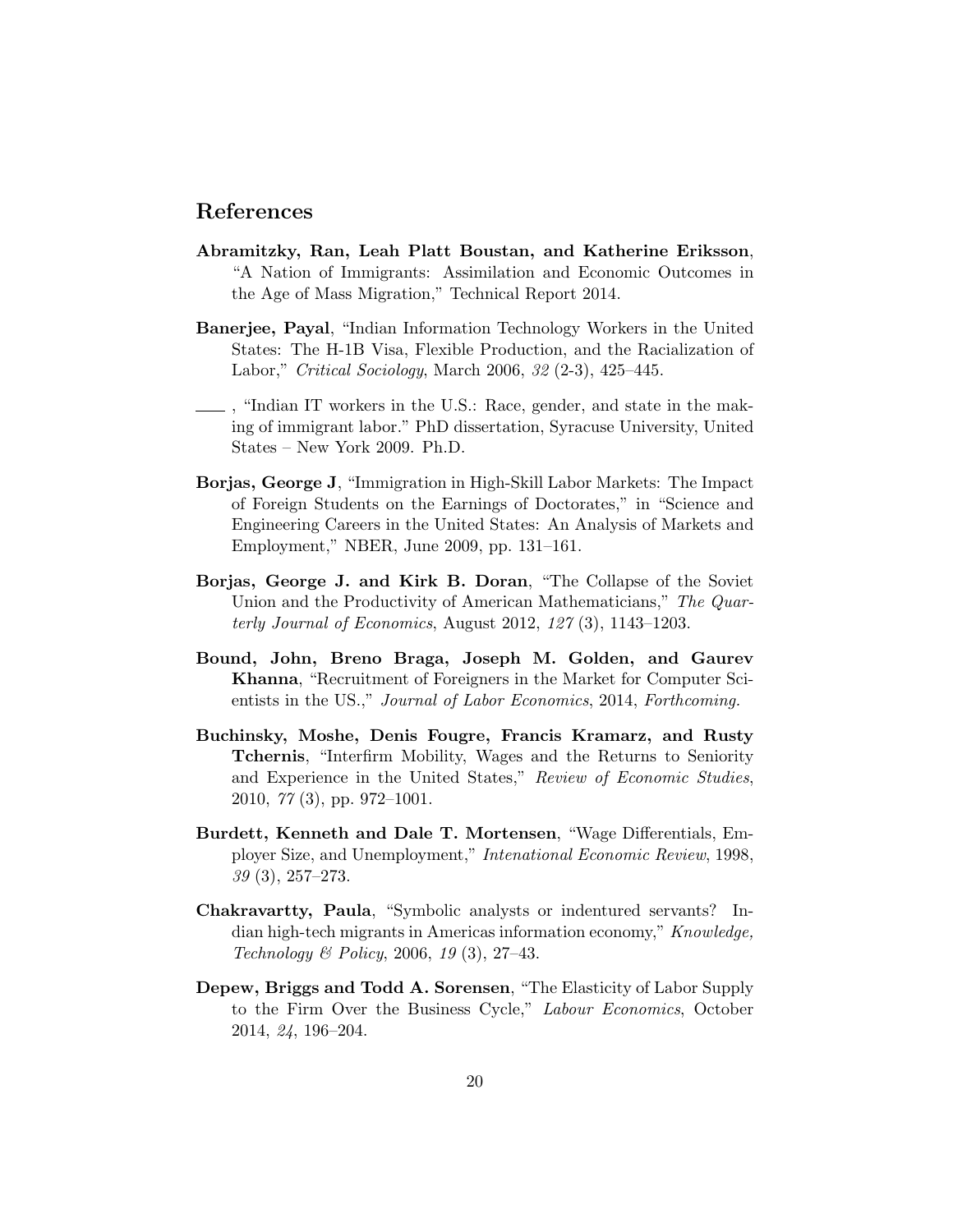# References

- Abramitzky, Ran, Leah Platt Boustan, and Katherine Eriksson, "A Nation of Immigrants: Assimilation and Economic Outcomes in the Age of Mass Migration," Technical Report 2014.
- Banerjee, Payal, "Indian Information Technology Workers in the United States: The H-1B Visa, Flexible Production, and the Racialization of Labor," Critical Sociology, March 2006, 32 (2-3), 425–445.
- , "Indian IT workers in the U.S.: Race, gender, and state in the making of immigrant labor." PhD dissertation, Syracuse University, United States – New York 2009. Ph.D.
- Borjas, George J, "Immigration in High-Skill Labor Markets: The Impact of Foreign Students on the Earnings of Doctorates," in "Science and Engineering Careers in the United States: An Analysis of Markets and Employment," NBER, June 2009, pp. 131–161.
- Borjas, George J. and Kirk B. Doran, "The Collapse of the Soviet Union and the Productivity of American Mathematicians," The Quarterly Journal of Economics, August 2012, 127 (3), 1143–1203.
- Bound, John, Breno Braga, Joseph M. Golden, and Gaurev Khanna, "Recruitment of Foreigners in the Market for Computer Scientists in the US.," Journal of Labor Economics, 2014, Forthcoming.
- Buchinsky, Moshe, Denis Fougre, Francis Kramarz, and Rusty Tchernis, "Interfirm Mobility, Wages and the Returns to Seniority and Experience in the United States," Review of Economic Studies, 2010, 77 (3), pp. 972–1001.
- Burdett, Kenneth and Dale T. Mortensen, "Wage Differentials, Employer Size, and Unemployment," Intenational Economic Review, 1998, 39 (3), 257–273.
- Chakravartty, Paula, "Symbolic analysts or indentured servants? Indian high-tech migrants in Americas information economy," Knowledge, Technology & Policy, 2006, 19 (3), 27–43.
- Depew, Briggs and Todd A. Sorensen, "The Elasticity of Labor Supply to the Firm Over the Business Cycle," Labour Economics, October 2014, 24, 196–204.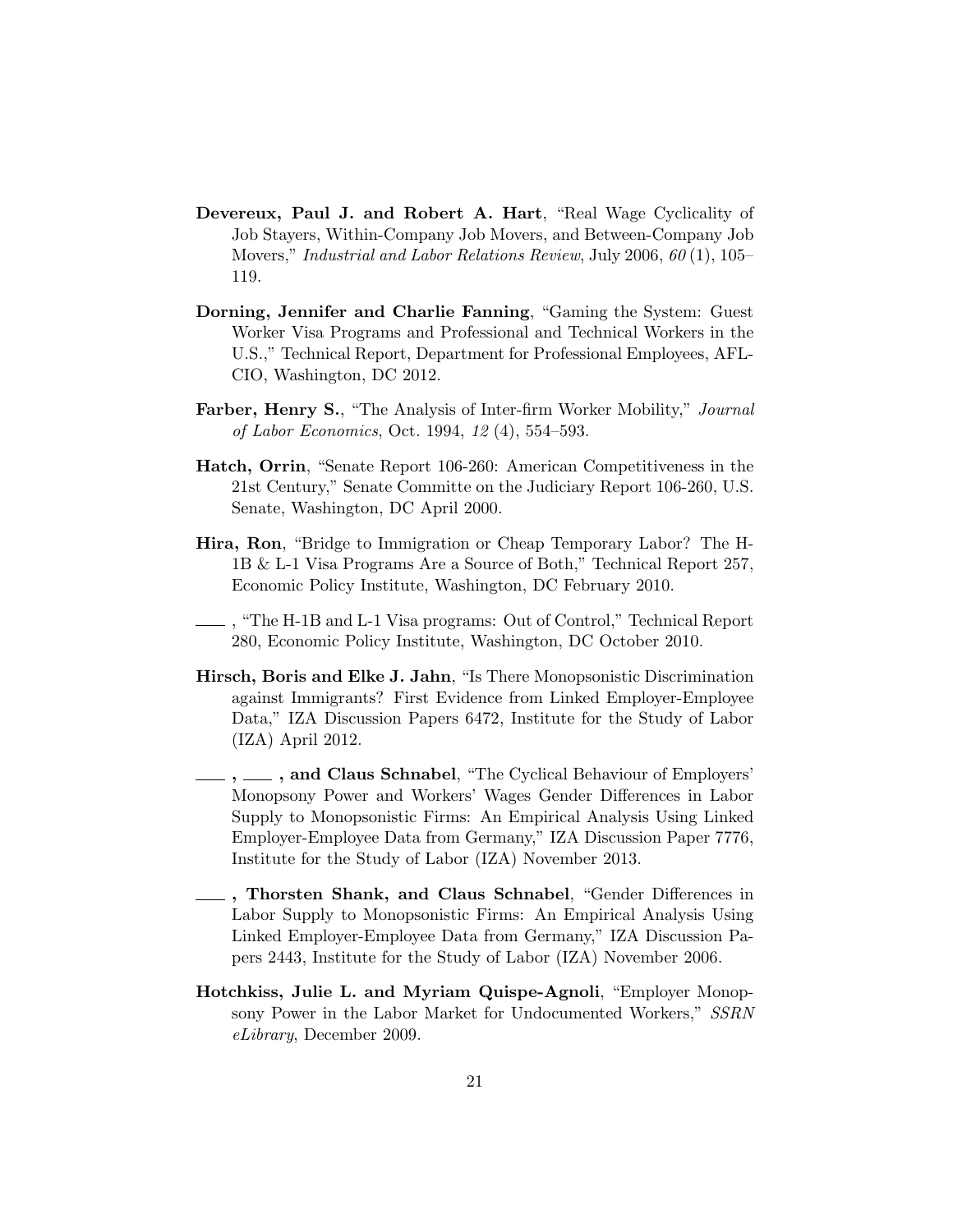- Devereux, Paul J. and Robert A. Hart, "Real Wage Cyclicality of Job Stayers, Within-Company Job Movers, and Between-Company Job Movers," Industrial and Labor Relations Review, July 2006, 60 (1), 105– 119.
- Dorning, Jennifer and Charlie Fanning, "Gaming the System: Guest Worker Visa Programs and Professional and Technical Workers in the U.S.," Technical Report, Department for Professional Employees, AFL-CIO, Washington, DC 2012.
- Farber, Henry S., "The Analysis of Inter-firm Worker Mobility," Journal of Labor Economics, Oct. 1994, 12 (4), 554–593.
- Hatch, Orrin, "Senate Report 106-260: American Competitiveness in the 21st Century," Senate Committe on the Judiciary Report 106-260, U.S. Senate, Washington, DC April 2000.
- Hira, Ron, "Bridge to Immigration or Cheap Temporary Labor? The H-1B & L-1 Visa Programs Are a Source of Both," Technical Report 257, Economic Policy Institute, Washington, DC February 2010.
- , "The H-1B and L-1 Visa programs: Out of Control," Technical Report 280, Economic Policy Institute, Washington, DC October 2010.
- Hirsch, Boris and Elke J. Jahn, "Is There Monopsonistic Discrimination against Immigrants? First Evidence from Linked Employer-Employee Data," IZA Discussion Papers 6472, Institute for the Study of Labor (IZA) April 2012.
- , \_\_\_, and Claus Schnabel, "The Cyclical Behaviour of Employers' Monopsony Power and Workers' Wages Gender Differences in Labor Supply to Monopsonistic Firms: An Empirical Analysis Using Linked Employer-Employee Data from Germany," IZA Discussion Paper 7776, Institute for the Study of Labor (IZA) November 2013.
- , Thorsten Shank, and Claus Schnabel, "Gender Differences in Labor Supply to Monopsonistic Firms: An Empirical Analysis Using Linked Employer-Employee Data from Germany," IZA Discussion Papers 2443, Institute for the Study of Labor (IZA) November 2006.
- Hotchkiss, Julie L. and Myriam Quispe-Agnoli, "Employer Monopsony Power in the Labor Market for Undocumented Workers," SSRN eLibrary, December 2009.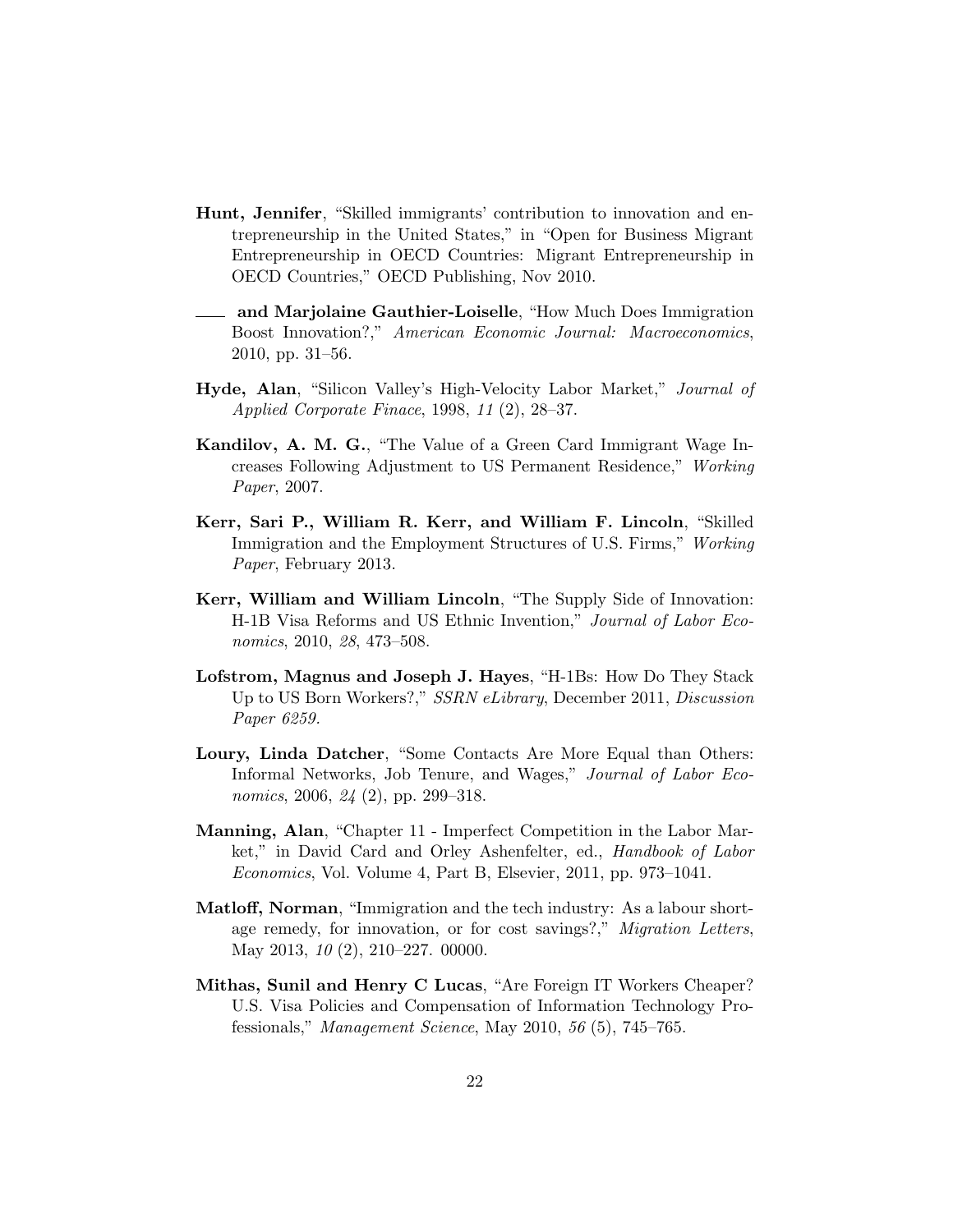- Hunt, Jennifer, "Skilled immigrants' contribution to innovation and entrepreneurship in the United States," in "Open for Business Migrant Entrepreneurship in OECD Countries: Migrant Entrepreneurship in OECD Countries," OECD Publishing, Nov 2010.
- and Marjolaine Gauthier-Loiselle, "How Much Does Immigration Boost Innovation?," American Economic Journal: Macroeconomics, 2010, pp. 31–56.
- Hyde, Alan, "Silicon Valley's High-Velocity Labor Market," Journal of Applied Corporate Finace, 1998, 11 (2), 28–37.
- Kandilov, A. M. G., "The Value of a Green Card Immigrant Wage Increases Following Adjustment to US Permanent Residence," Working Paper, 2007.
- Kerr, Sari P., William R. Kerr, and William F. Lincoln, "Skilled Immigration and the Employment Structures of U.S. Firms," Working Paper, February 2013.
- Kerr, William and William Lincoln, "The Supply Side of Innovation: H-1B Visa Reforms and US Ethnic Invention," Journal of Labor Economics, 2010, 28, 473–508.
- Lofstrom, Magnus and Joseph J. Hayes, "H-1Bs: How Do They Stack Up to US Born Workers?," SSRN eLibrary, December 2011, Discussion Paper 6259.
- Loury, Linda Datcher, "Some Contacts Are More Equal than Others: Informal Networks, Job Tenure, and Wages," Journal of Labor Economics, 2006, 24 (2), pp. 299–318.
- Manning, Alan, "Chapter 11 Imperfect Competition in the Labor Market," in David Card and Orley Ashenfelter, ed., Handbook of Labor Economics, Vol. Volume 4, Part B, Elsevier, 2011, pp. 973–1041.
- Matloff, Norman, "Immigration and the tech industry: As a labour shortage remedy, for innovation, or for cost savings?," Migration Letters, May 2013, 10 (2), 210–227. 00000.
- Mithas, Sunil and Henry C Lucas, "Are Foreign IT Workers Cheaper? U.S. Visa Policies and Compensation of Information Technology Professionals," Management Science, May 2010, 56 (5), 745–765.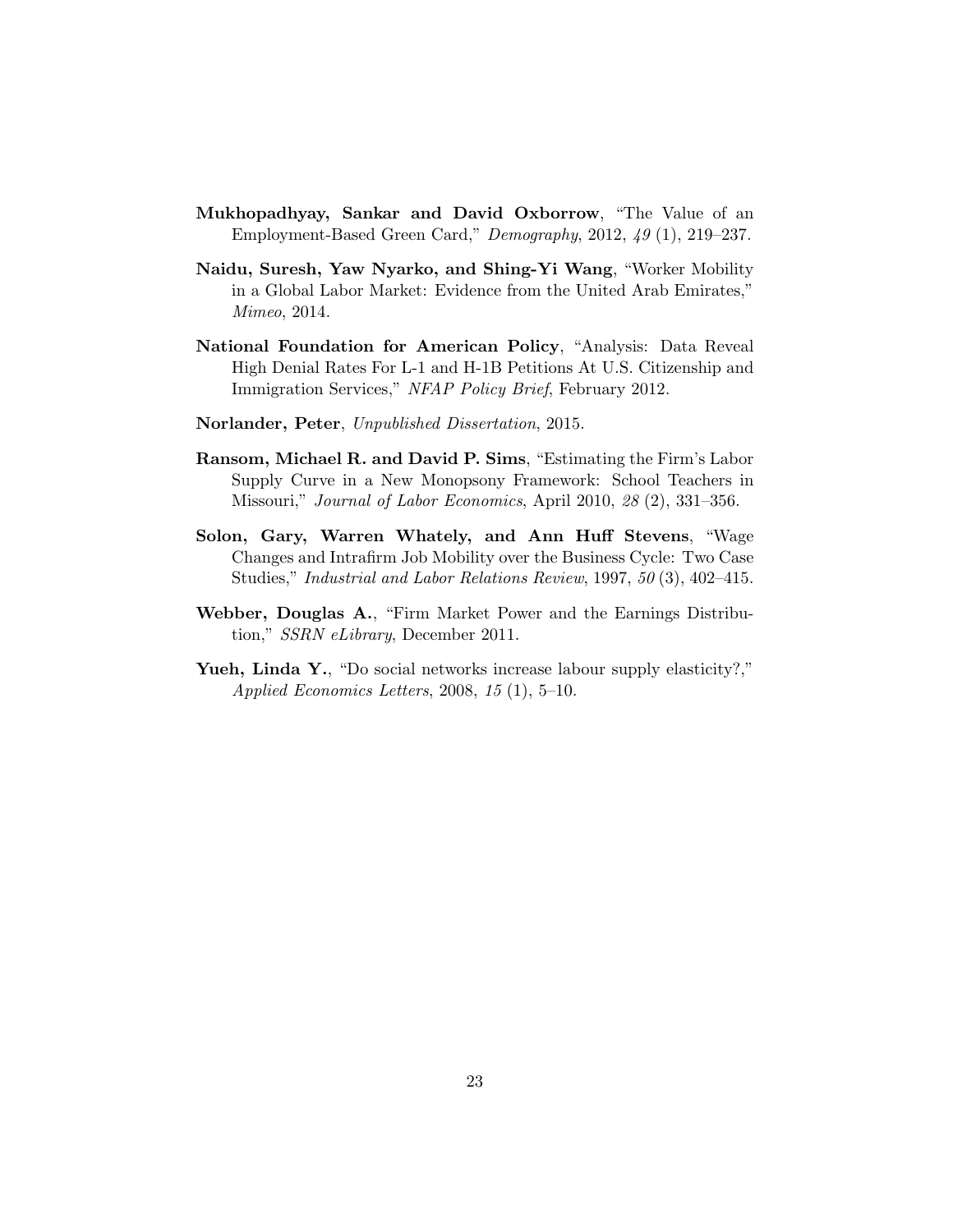- Mukhopadhyay, Sankar and David Oxborrow, "The Value of an Employment-Based Green Card," Demography, 2012, 49 (1), 219–237.
- Naidu, Suresh, Yaw Nyarko, and Shing-Yi Wang, "Worker Mobility in a Global Labor Market: Evidence from the United Arab Emirates," Mimeo, 2014.
- National Foundation for American Policy, "Analysis: Data Reveal High Denial Rates For L-1 and H-1B Petitions At U.S. Citizenship and Immigration Services," NFAP Policy Brief, February 2012.
- Norlander, Peter, Unpublished Dissertation, 2015.
- Ransom, Michael R. and David P. Sims, "Estimating the Firm's Labor Supply Curve in a New Monopsony Framework: School Teachers in Missouri," Journal of Labor Economics, April 2010, 28 (2), 331–356.
- Solon, Gary, Warren Whately, and Ann Huff Stevens, "Wage Changes and Intrafirm Job Mobility over the Business Cycle: Two Case Studies," Industrial and Labor Relations Review, 1997, 50 (3), 402–415.
- Webber, Douglas A., "Firm Market Power and the Earnings Distribution," SSRN eLibrary, December 2011.
- Yueh, Linda Y., "Do social networks increase labour supply elasticity?," Applied Economics Letters, 2008, 15 (1), 5–10.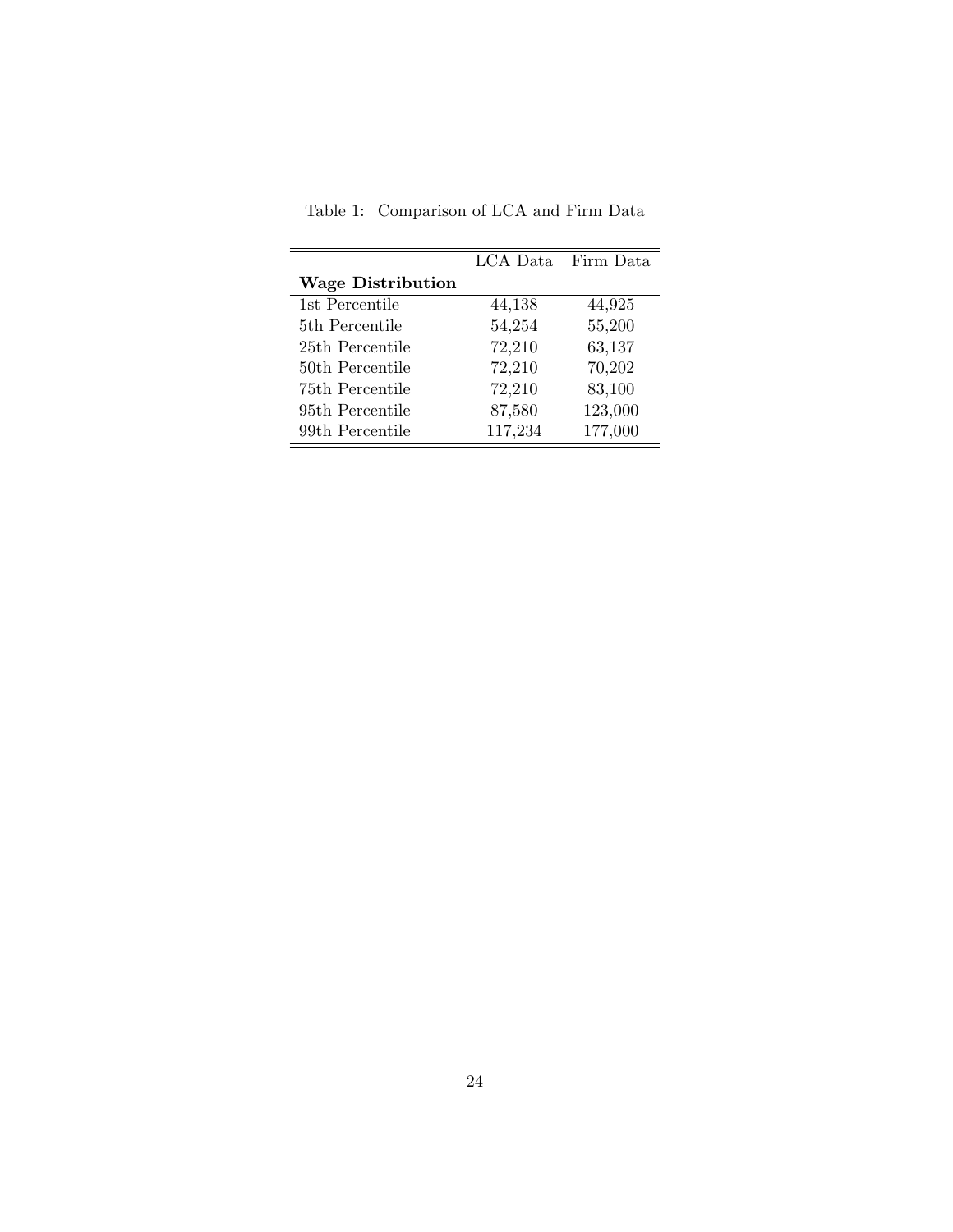|                            |         | LCA Data Firm Data |
|----------------------------|---------|--------------------|
| <b>Wage Distribution</b>   |         |                    |
| 1st Percentile             | 44,138  | 44,925             |
| 5 <sup>th</sup> Percentile | 54,254  | 55,200             |
| 25th Percentile            | 72,210  | 63,137             |
| 50th Percentile            | 72,210  | 70,202             |
| 75th Percentile            | 72,210  | 83,100             |
| 95th Percentile            | 87,580  | 123,000            |
| 99th Percentile            | 117,234 | 177,000            |

<span id="page-23-0"></span>Table 1: Comparison of LCA and Firm Data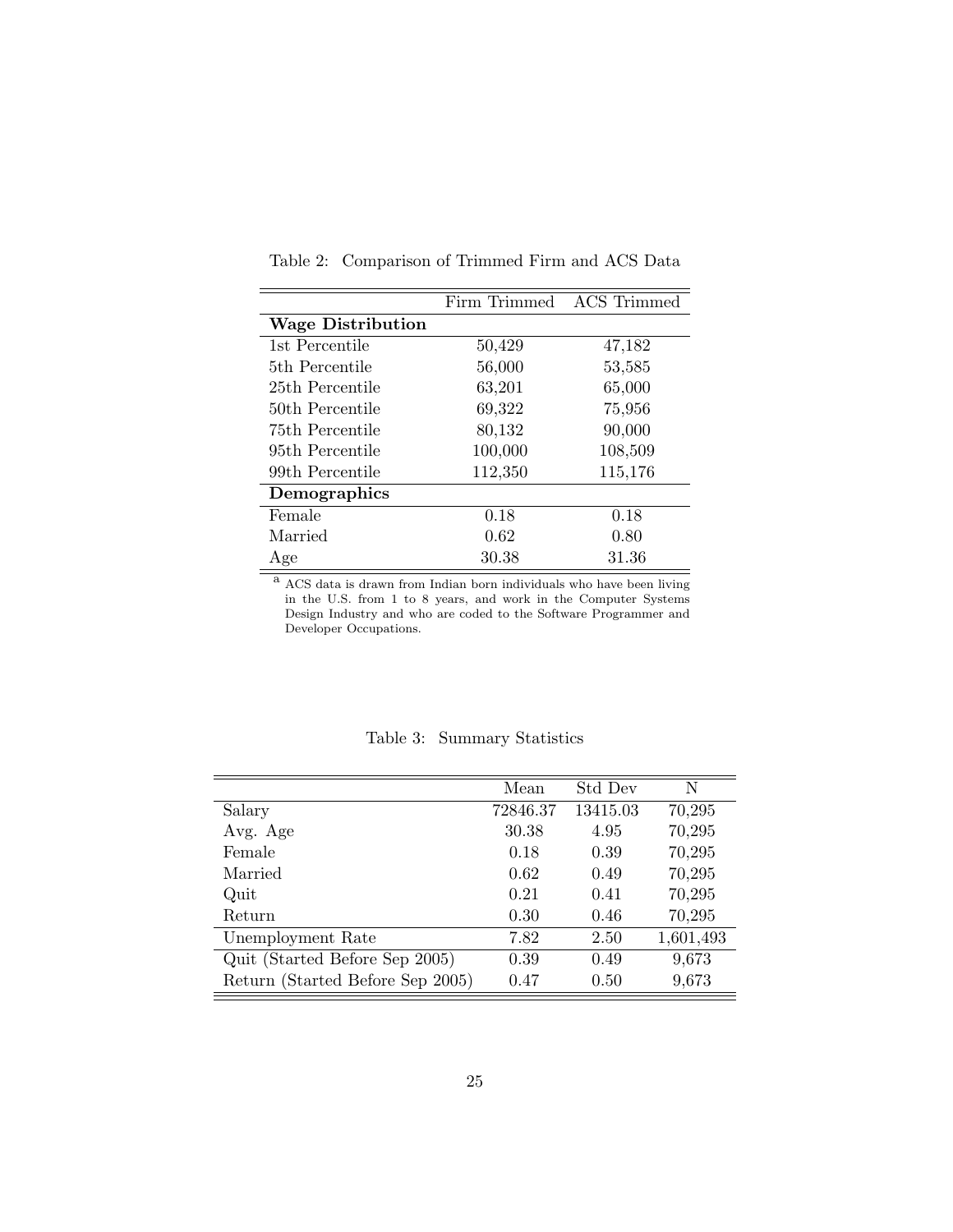|                          | Firm Trimmed | <b>ACS</b> Trimmed |
|--------------------------|--------------|--------------------|
| <b>Wage Distribution</b> |              |                    |
| 1st Percentile           | 50,429       | 47,182             |
| 5th Percentile           | 56,000       | 53,585             |
| 25th Percentile          | 63,201       | 65,000             |
| 50th Percentile          | 69,322       | 75,956             |
| 75th Percentile          | 80,132       | 90,000             |
| 95th Percentile          | 100,000      | 108,509            |
| 99th Percentile          | 112,350      | 115,176            |
| Demographics             |              |                    |
| Female                   | 0.18         | 0.18               |
| Married                  | 0.62         | 0.80               |
| Age                      | 30.38        | 31.36              |

<span id="page-24-0"></span>Table 2: Comparison of Trimmed Firm and ACS Data

<sup>a</sup> ACS data is drawn from Indian born individuals who have been living in the U.S. from 1 to 8 years, and work in the Computer Systems Design Industry and who are coded to the Software Programmer and Developer Occupations.

<span id="page-24-1"></span>

|                                  | Mean     | Std Dev  | N         |
|----------------------------------|----------|----------|-----------|
| Salary                           | 72846.37 | 13415.03 | 70,295    |
| Avg. Age                         | 30.38    | 4.95     | 70,295    |
| Female                           | 0.18     | 0.39     | 70,295    |
| Married                          | 0.62     | 0.49     | 70,295    |
| Quit                             | 0.21     | 0.41     | 70,295    |
| Return                           | 0.30     | 0.46     | 70,295    |
| Unemployment Rate                | 7.82     | 2.50     | 1,601,493 |
| Quit (Started Before Sep 2005)   | 0.39     | 0.49     | 9,673     |
| Return (Started Before Sep 2005) | 0.47     | 0.50     | 9,673     |

Table 3: Summary Statistics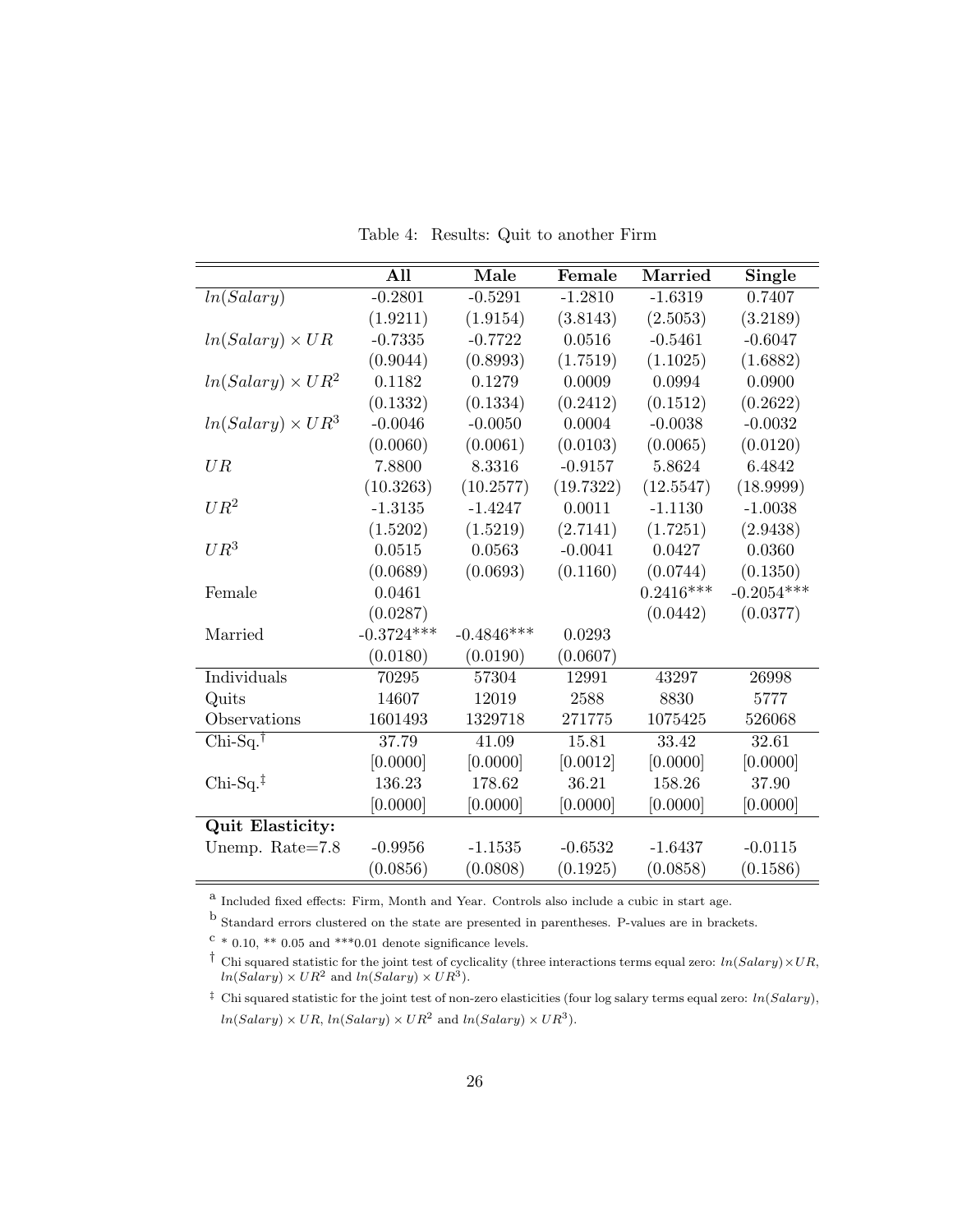|  | Table 4: Results: Quit to another Firm |  |  |  |  |
|--|----------------------------------------|--|--|--|--|
|--|----------------------------------------|--|--|--|--|

<span id="page-25-0"></span>

|                          | All          | Male         | Female    | Married     | Single       |
|--------------------------|--------------|--------------|-----------|-------------|--------------|
| ln(Salary)               | $-0.2801$    | $-0.5291$    | $-1.2810$ | $-1.6319$   | 0.7407       |
|                          | (1.9211)     | (1.9154)     | (3.8143)  | (2.5053)    | (3.2189)     |
| $ln(Salary) \times UR$   | $-0.7335$    | $-0.7722$    | 0.0516    | $-0.5461$   | $-0.6047$    |
|                          | (0.9044)     | (0.8993)     | (1.7519)  | (1.1025)    | (1.6882)     |
| $ln(Salary) \times UR^2$ | 0.1182       | 0.1279       | 0.0009    | 0.0994      | 0.0900       |
|                          | (0.1332)     | (0.1334)     | (0.2412)  | (0.1512)    | (0.2622)     |
| $ln(Salary) \times UR^3$ | $-0.0046$    | $-0.0050$    | 0.0004    | $-0.0038$   | $-0.0032$    |
|                          | (0.0060)     | (0.0061)     | (0.0103)  | (0.0065)    | (0.0120)     |
| UR                       | 7.8800       | 8.3316       | $-0.9157$ | 5.8624      | 6.4842       |
|                          | (10.3263)    | (10.2577)    | (19.7322) | (12.5547)   | (18.9999)    |
| $UR^2$                   | $-1.3135$    | $-1.4247$    | 0.0011    | $-1.1130$   | $-1.0038$    |
|                          | (1.5202)     | (1.5219)     | (2.7141)  | (1.7251)    | (2.9438)     |
| $UR^3$                   | 0.0515       | 0.0563       | $-0.0041$ | 0.0427      | 0.0360       |
|                          | (0.0689)     | (0.0693)     | (0.1160)  | (0.0744)    | (0.1350)     |
| Female                   | 0.0461       |              |           | $0.2416***$ | $-0.2054***$ |
|                          | (0.0287)     |              |           | (0.0442)    | (0.0377)     |
| Married                  | $-0.3724***$ | $-0.4846***$ | 0.0293    |             |              |
|                          | (0.0180)     | (0.0190)     | (0.0607)  |             |              |
| Individuals              | 70295        | 57304        | 12991     | 43297       | 26998        |
| Quits                    | 14607        | 12019        | 2588      | 8830        | 5777         |
| Observations             | 1601493      | 1329718      | 271775    | 1075425     | 526068       |
| $Chi-Sq.$ †              | 37.79        | 41.09        | 15.81     | 33.42       | 32.61        |
|                          | [0.0000]     | [0.0000]     | [0.0012]  | [0.0000]    | [0.0000]     |
| $Chi-Sq.‡$               | 136.23       | 178.62       | 36.21     | 158.26      | 37.90        |
|                          | [0.0000]     | [0.0000]     | [0.0000]  | [0.0000]    | [0.0000]     |
| Quit Elasticity:         |              |              |           |             |              |
| Unemp. Rate=7.8          | $-0.9956$    | $-1.1535$    | $-0.6532$ | $-1.6437$   | $-0.0115$    |
|                          | (0.0856)     | (0.0808)     | (0.1925)  | (0.0858)    | (0.1586)     |

a Included fixed effects: Firm, Month and Year. Controls also include a cubic in start age.

b Standard errors clustered on the state are presented in parentheses. P-values are in brackets.

 $c * 0.10, ** 0.05$  and  $***0.01$  denote significance levels.

<sup>&</sup>lt;sup>†</sup> Chi squared statistic for the joint test of cyclicality (three interactions terms equal zero:  $ln(Salary) \times UR$ ,  $ln(Salary) \times UR^2$  and  $ln(Salary) \times UR^3$ .

<sup>&</sup>lt;sup> $\ddagger$ </sup> Chi squared statistic for the joint test of non-zero elasticities (four log salary terms equal zero:  $ln(Salary)$ ,  $ln(Salary) \times UR$ ,  $ln(Salary) \times UR^2$  and  $ln(Salary) \times UR^3$ .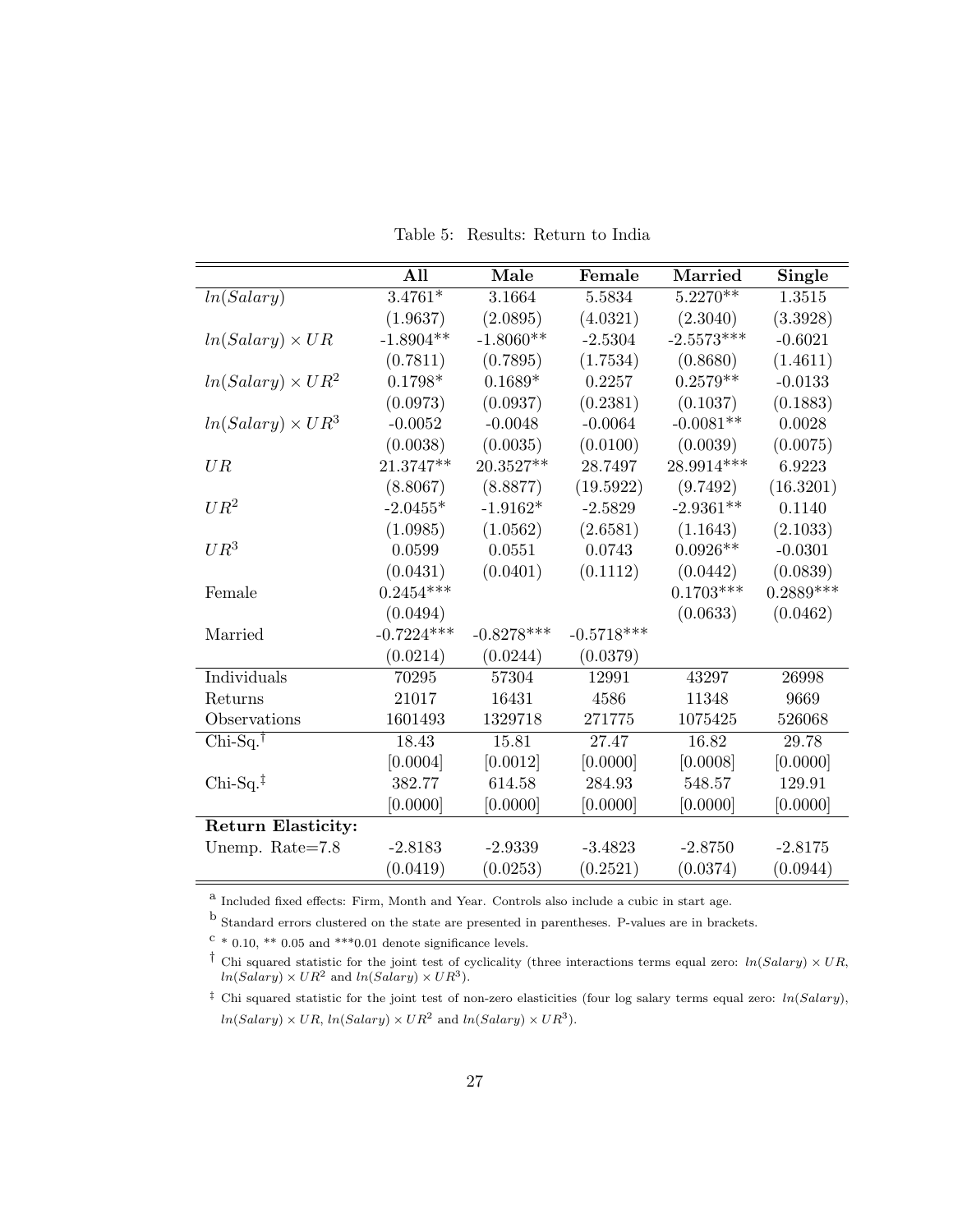Table 5: Results: Return to India

<span id="page-26-0"></span>

|                           | All          | Male         | Female       | Married      | <b>Single</b> |
|---------------------------|--------------|--------------|--------------|--------------|---------------|
| ln(Salary)                | $3.4761*$    | 3.1664       | 5.5834       | $5.2270**$   | 1.3515        |
|                           | (1.9637)     | (2.0895)     | (4.0321)     | (2.3040)     | (3.3928)      |
| $ln(Salary) \times UR$    | $-1.8904**$  | $-1.8060**$  | $-2.5304$    | $-2.5573***$ | $-0.6021$     |
|                           | (0.7811)     | (0.7895)     | (1.7534)     | (0.8680)     | (1.4611)      |
| $ln(Salary) \times UR^2$  | $0.1798*$    | $0.1689*$    | 0.2257       | $0.2579**$   | $-0.0133$     |
|                           | (0.0973)     | (0.0937)     | (0.2381)     | (0.1037)     | (0.1883)      |
| $ln(Salary) \times UR^3$  | $-0.0052$    | $-0.0048$    | $-0.0064$    | $-0.0081**$  | 0.0028        |
|                           | (0.0038)     | (0.0035)     | (0.0100)     | (0.0039)     | (0.0075)      |
| UR                        | 21.3747**    | 20.3527**    | 28.7497      | 28.9914***   | 6.9223        |
|                           | (8.8067)     | (8.8877)     | (19.5922)    | (9.7492)     | (16.3201)     |
| $UR^2$                    | $-2.0455*$   | $-1.9162*$   | $-2.5829$    | $-2.9361**$  | 0.1140        |
|                           | (1.0985)     | (1.0562)     | (2.6581)     | (1.1643)     | (2.1033)      |
| $UR^3$                    | 0.0599       | 0.0551       | 0.0743       | $0.0926**$   | $-0.0301$     |
|                           | (0.0431)     | (0.0401)     | (0.1112)     | (0.0442)     | (0.0839)      |
| Female                    | $0.2454***$  |              |              | $0.1703***$  | $0.2889***$   |
|                           | (0.0494)     |              |              | (0.0633)     | (0.0462)      |
| Married                   | $-0.7224***$ | $-0.8278***$ | $-0.5718***$ |              |               |
|                           | (0.0214)     | (0.0244)     | (0.0379)     |              |               |
| Individuals               | 70295        | 57304        | 12991        | 43297        | 26998         |
| Returns                   | 21017        | 16431        | 4586         | 11348        | 9669          |
| Observations              | 1601493      | 1329718      | 271775       | 1075425      | 526068        |
| $Chi-Sq.\dagger$          | 18.43        | 15.81        | 27.47        | 16.82        | 29.78         |
|                           | [0.0004]     | [0.0012]     | [0.0000]     | [0.0008]     | [0.0000]      |
| $Chi-Sq.‡$                | 382.77       | 614.58       | 284.93       | 548.57       | 129.91        |
|                           | [0.0000]     | [0.0000]     | [0.0000]     | [0.0000]     | [0.0000]      |
| <b>Return Elasticity:</b> |              |              |              |              |               |
| Unemp. Rate=7.8           | $-2.8183$    | $-2.9339$    | $-3.4823$    | $-2.8750$    | $-2.8175$     |
|                           | (0.0419)     | (0.0253)     | (0.2521)     | (0.0374)     | (0.0944)      |

a Included fixed effects: Firm, Month and Year. Controls also include a cubic in start age.

b Standard errors clustered on the state are presented in parentheses. P-values are in brackets.

 $c * 0.10, ** 0.05$  and  $***0.01$  denote significance levels.

<sup>&</sup>lt;sup>†</sup> Chi squared statistic for the joint test of cyclicality (three interactions terms equal zero:  $ln(Salary) \times UR$ ,  $ln(Salary) \times UR^2$  and  $ln(Salary) \times UR^3$ .

<sup>&</sup>lt;sup> $\ddagger$ </sup> Chi squared statistic for the joint test of non-zero elasticities (four log salary terms equal zero:  $ln(Salary)$ ,  $ln(Salary) \times UR$ ,  $ln(Salary) \times UR^2$  and  $ln(Salary) \times UR^3$ .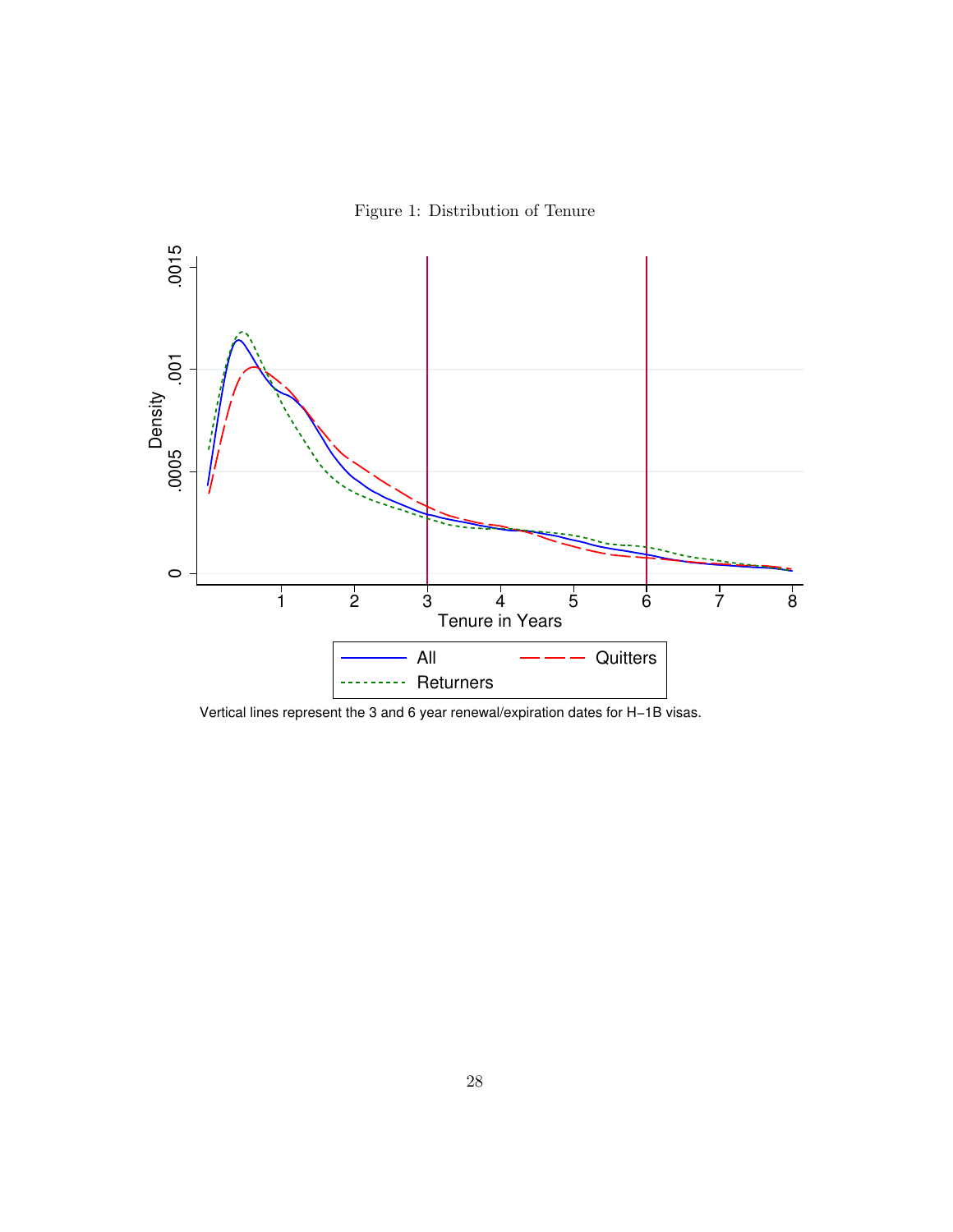Figure 1: Distribution of Tenure

<span id="page-27-0"></span>

Vertical lines represent the 3 and 6 year renewal/expiration dates for H−1B visas.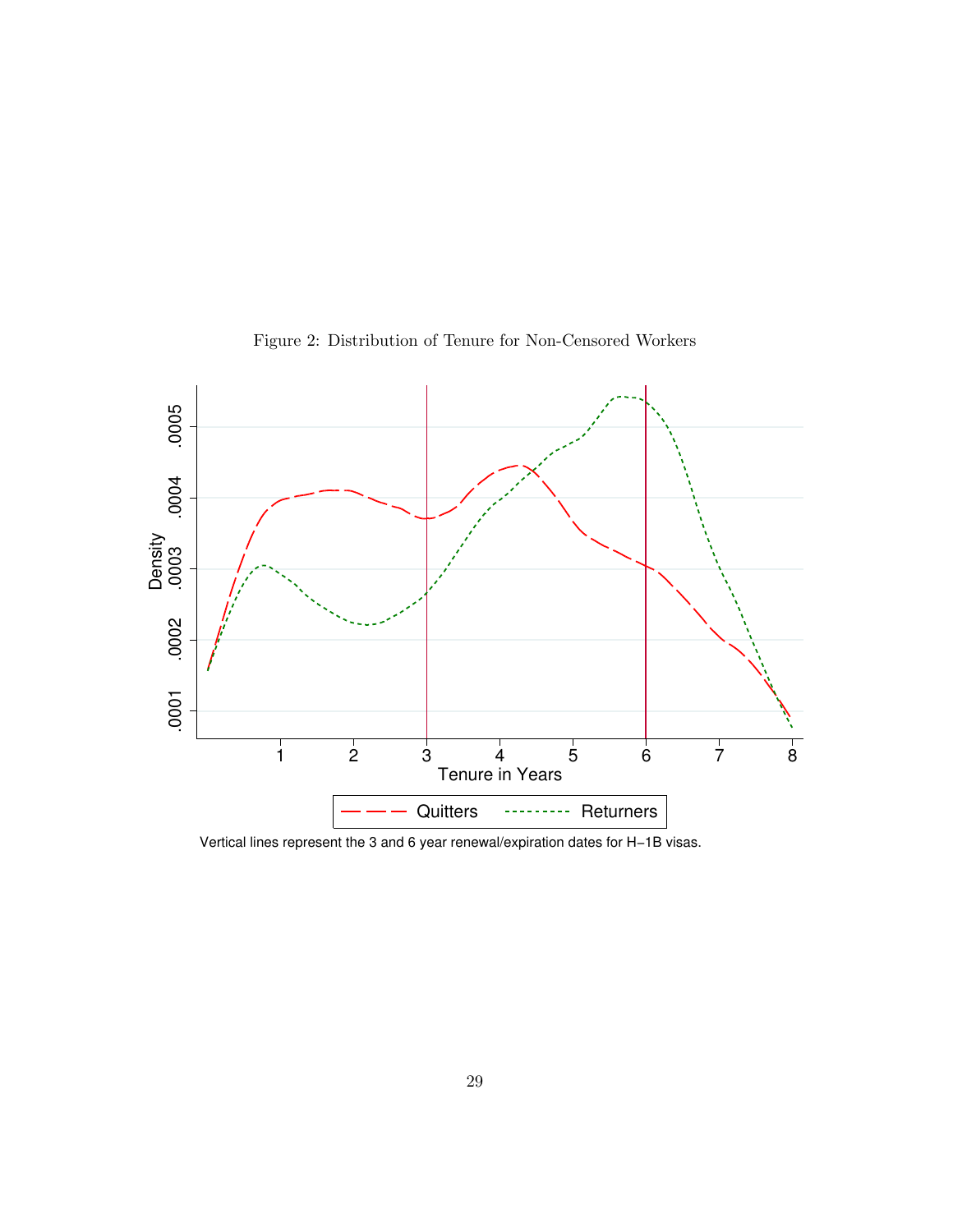

<span id="page-28-0"></span>Figure 2: Distribution of Tenure for Non-Censored Workers

Vertical lines represent the 3 and 6 year renewal/expiration dates for H−1B visas.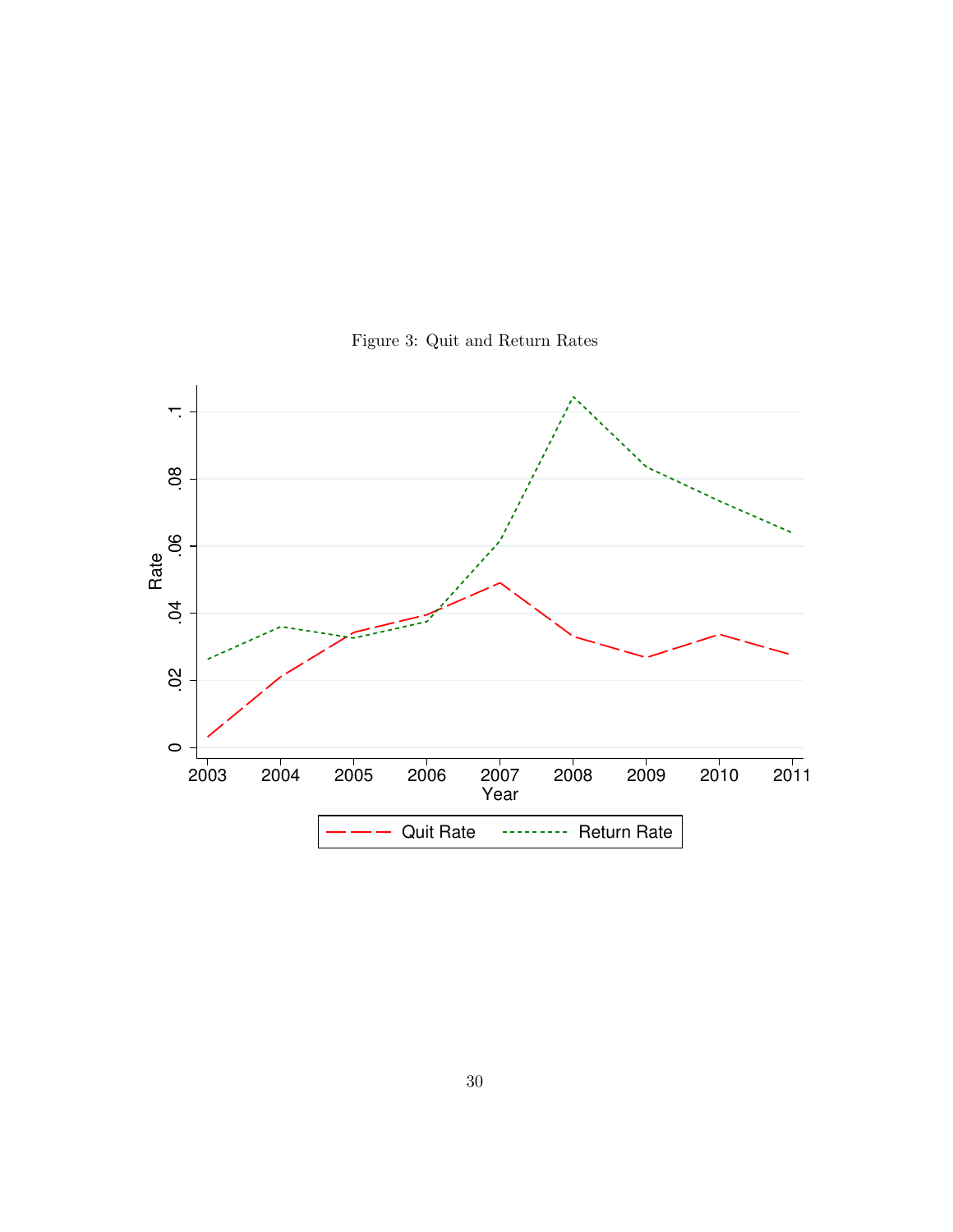<span id="page-29-0"></span>

Figure 3: Quit and Return Rates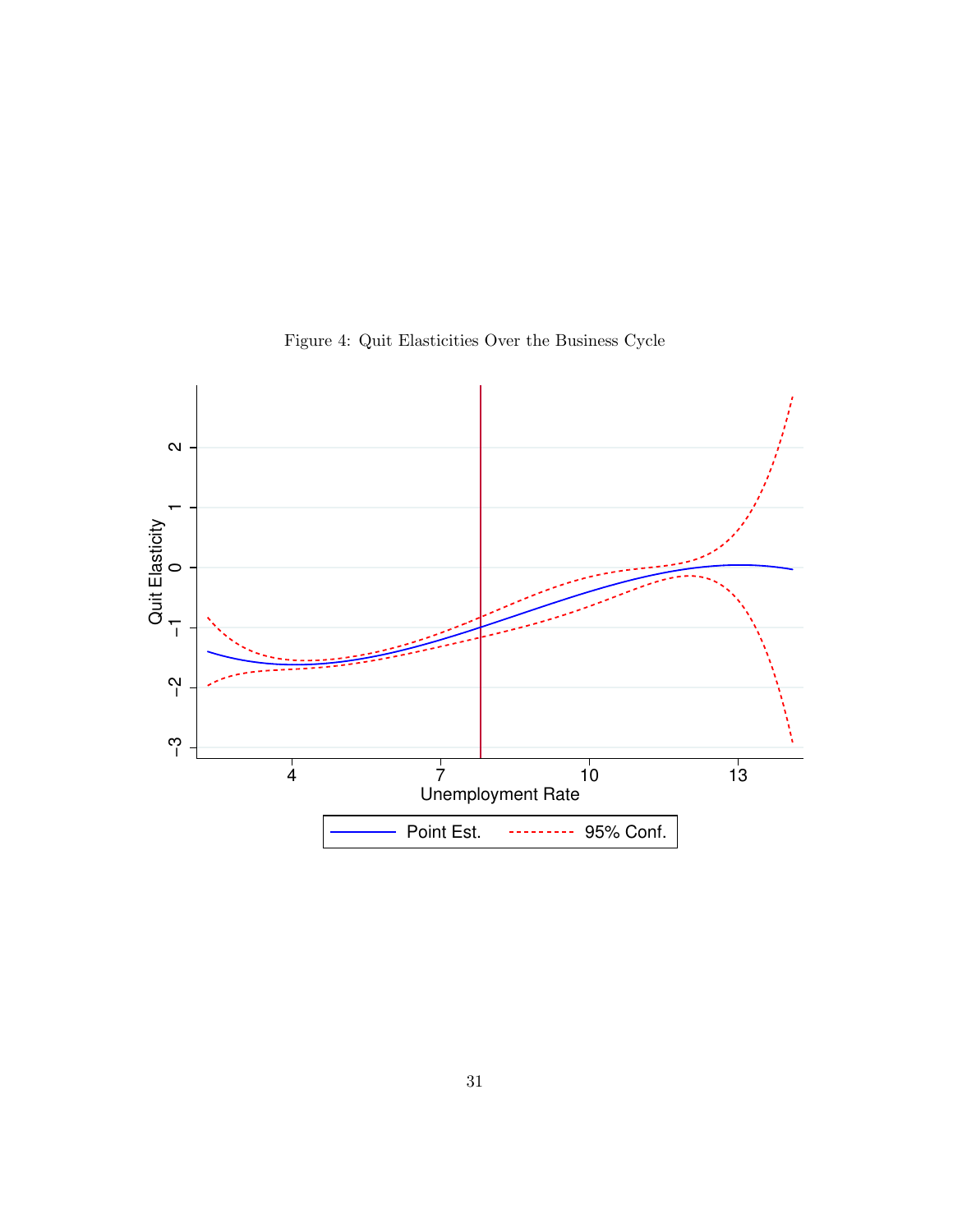

<span id="page-30-0"></span>Figure 4: Quit Elasticities Over the Business Cycle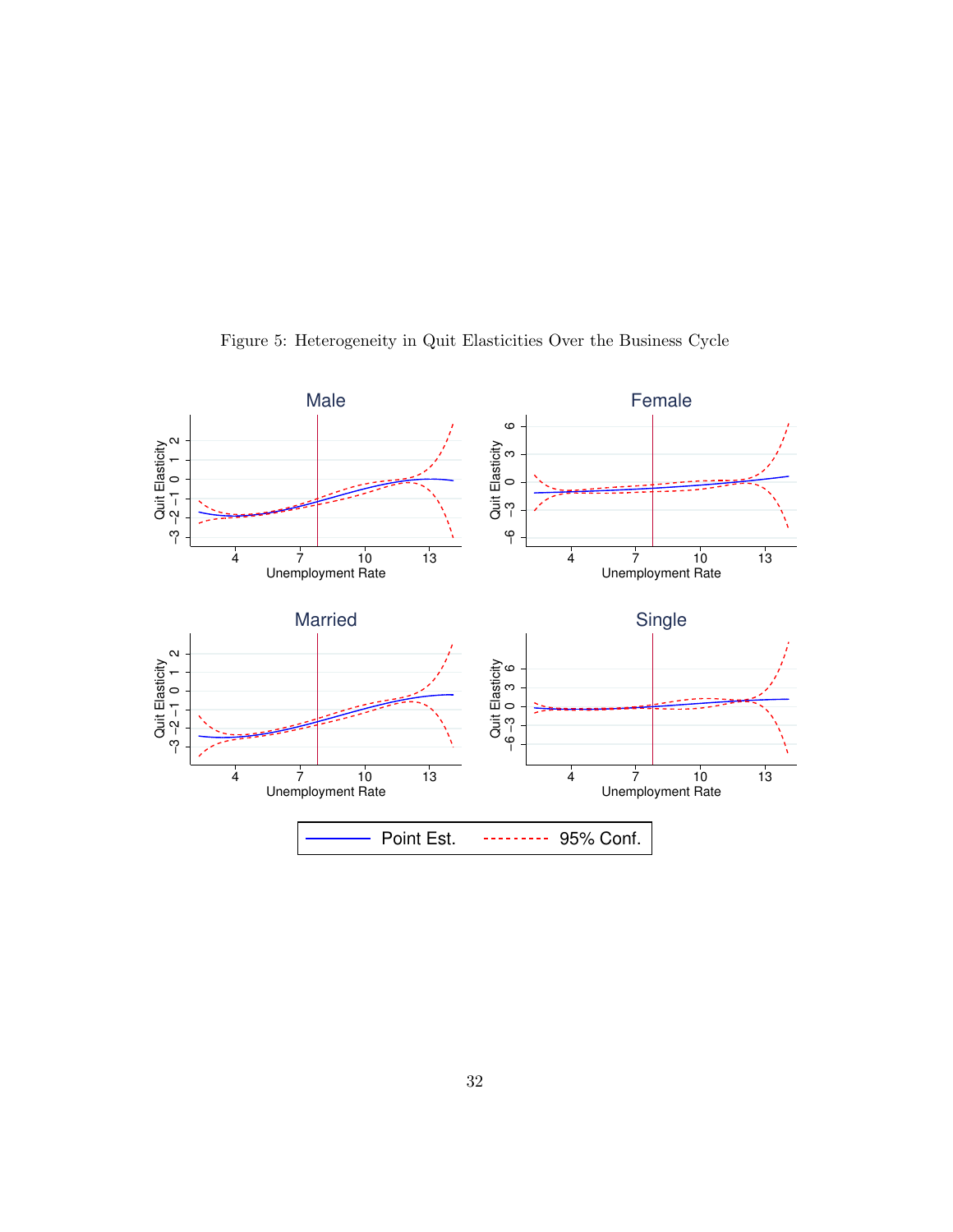

<span id="page-31-0"></span>Figure 5: Heterogeneity in Quit Elasticities Over the Business Cycle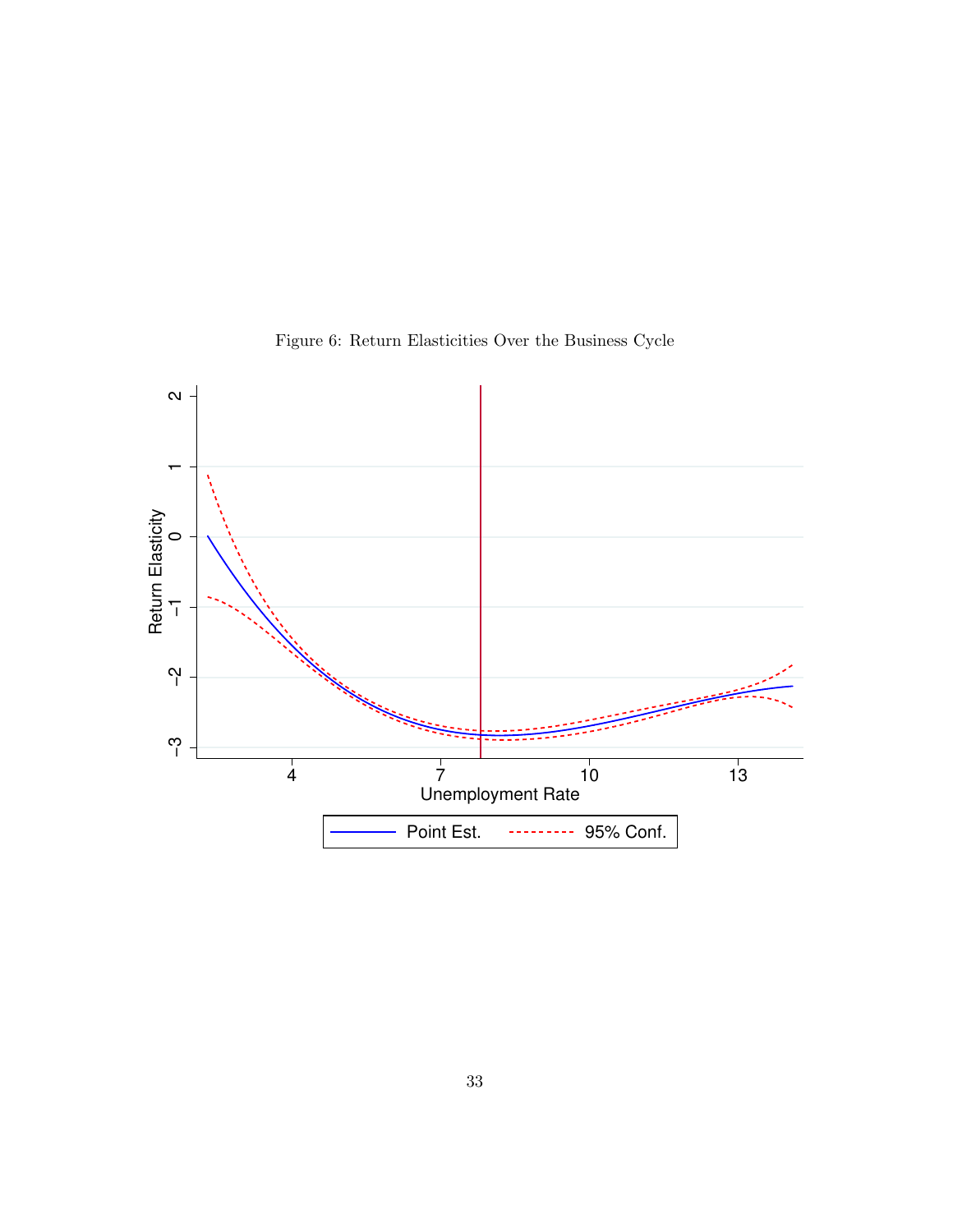

<span id="page-32-0"></span>Figure 6: Return Elasticities Over the Business Cycle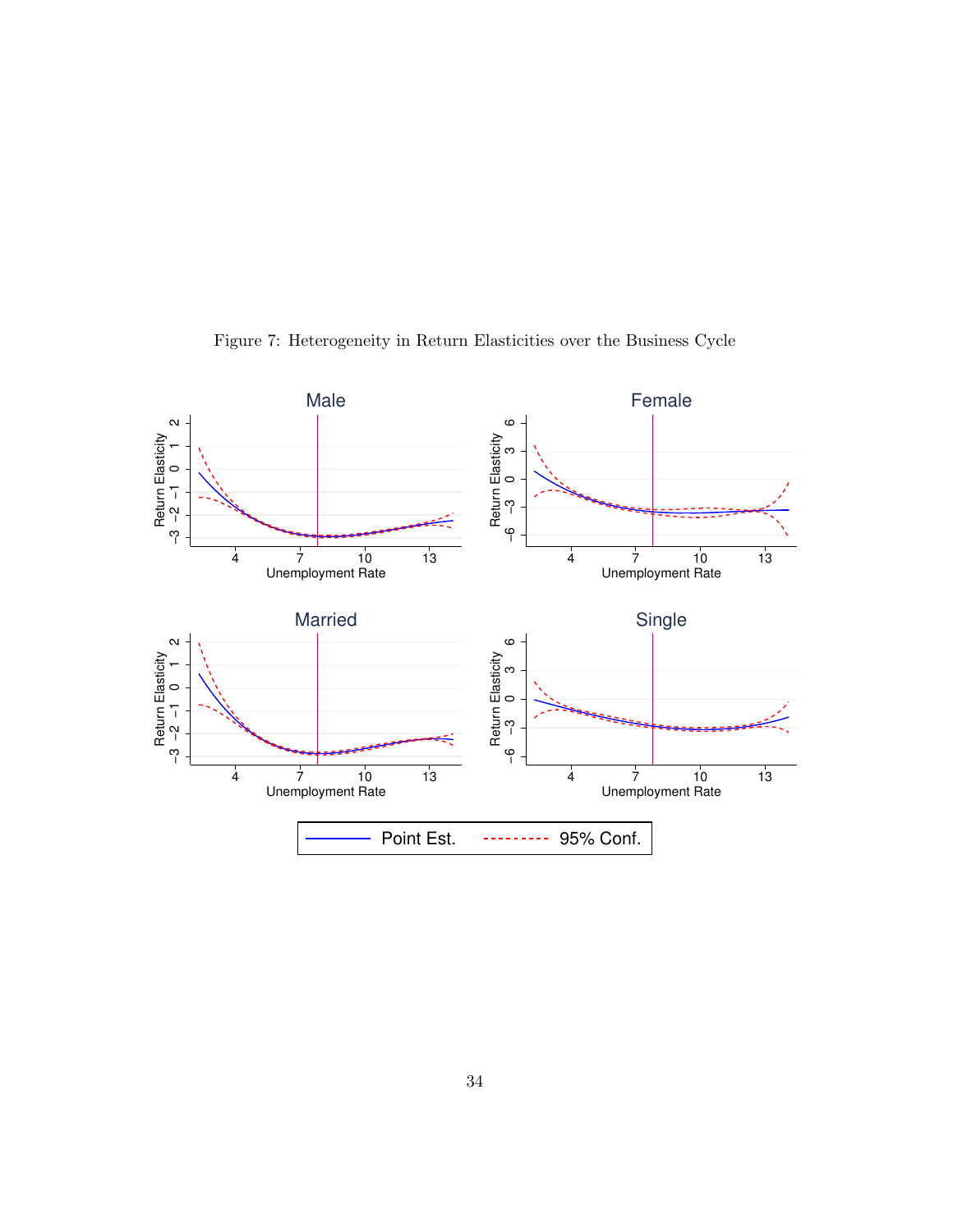

<span id="page-33-0"></span>Figure 7: Heterogeneity in Return Elasticities over the Business Cycle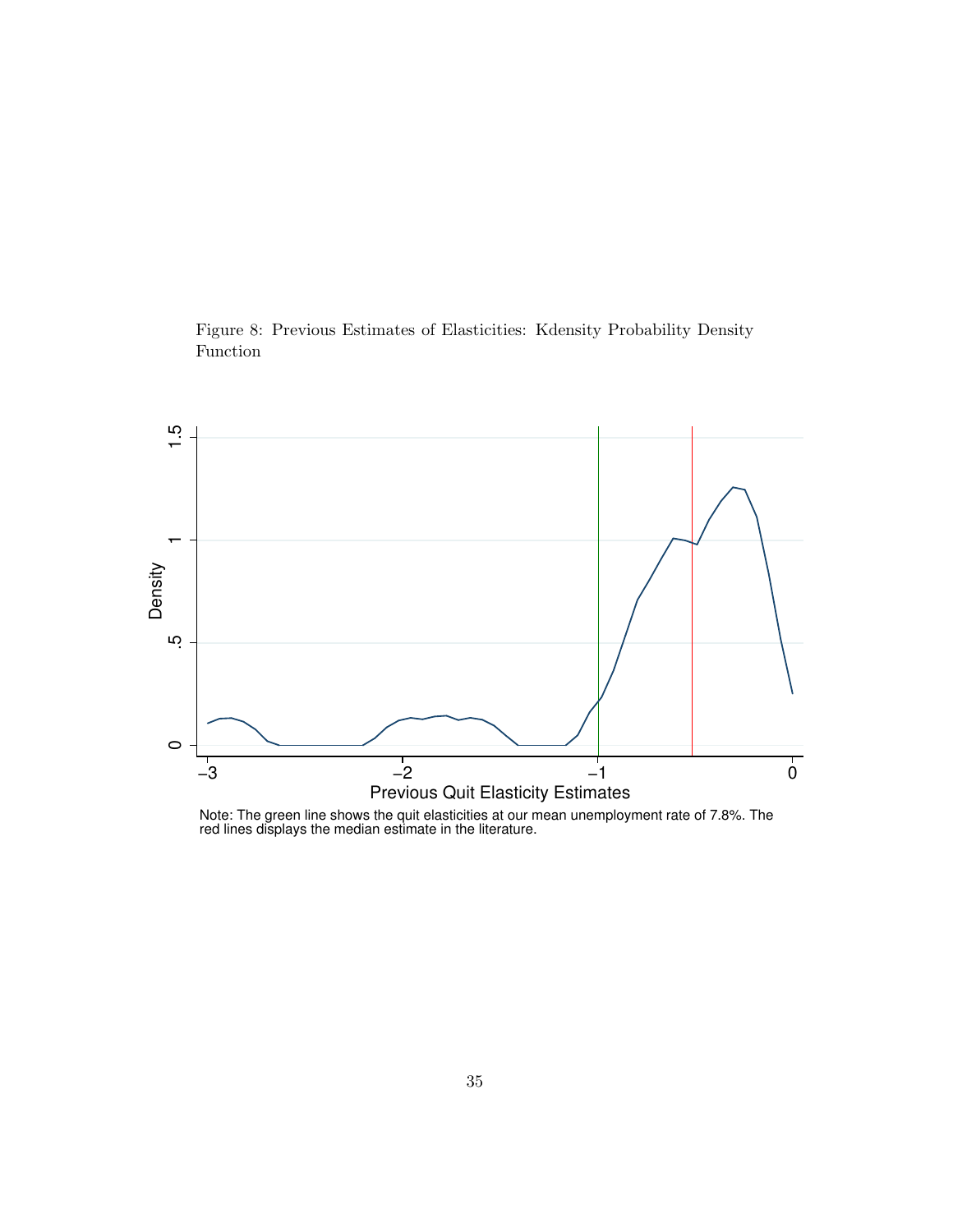<span id="page-34-0"></span>Figure 8: Previous Estimates of Elasticities: Kdensity Probability Density Function



Note: The green line shows the quit elasticities at our mean unemployment rate of 7.8%. The red lines displays the median estimate in the literature.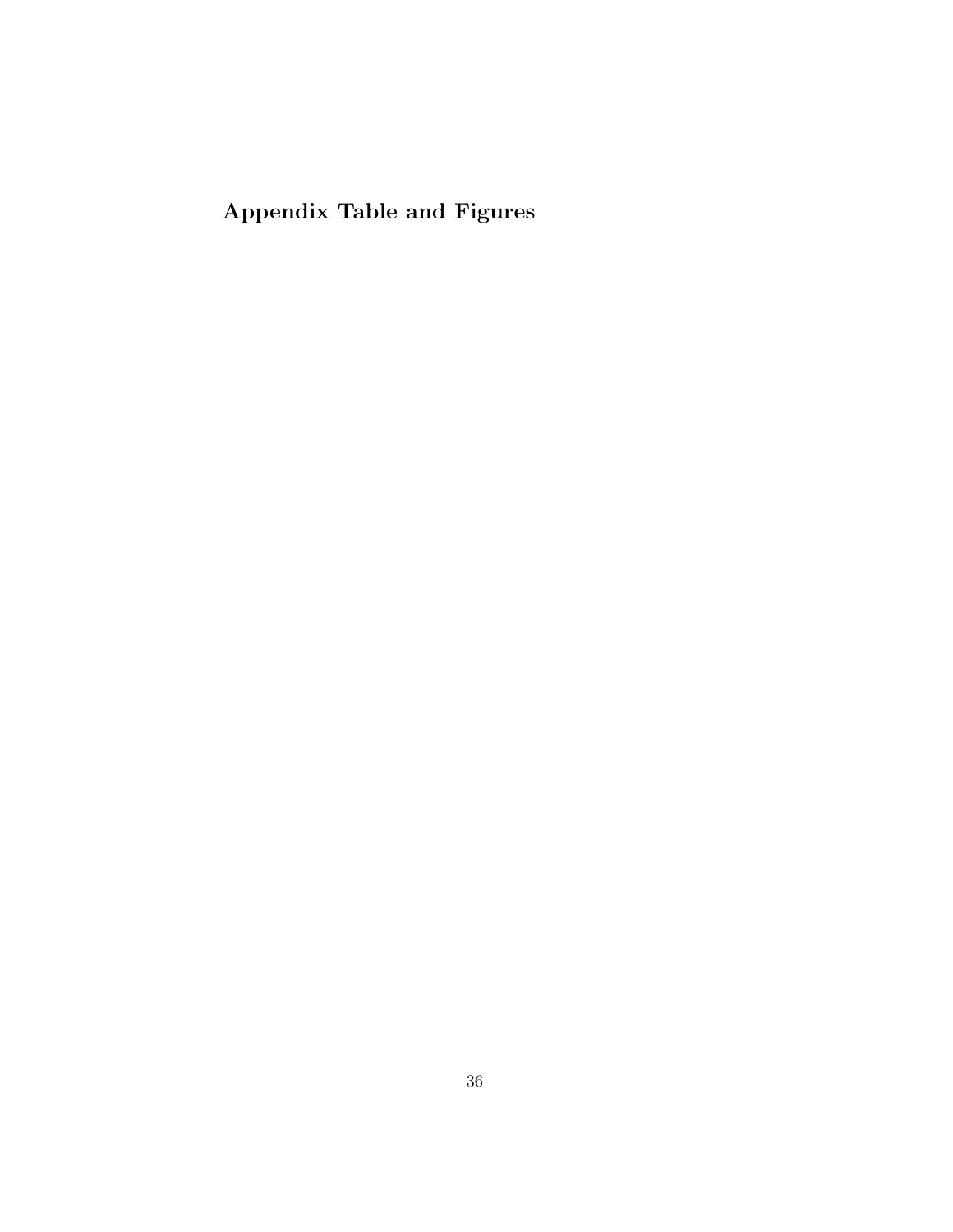Appendix Table and Figures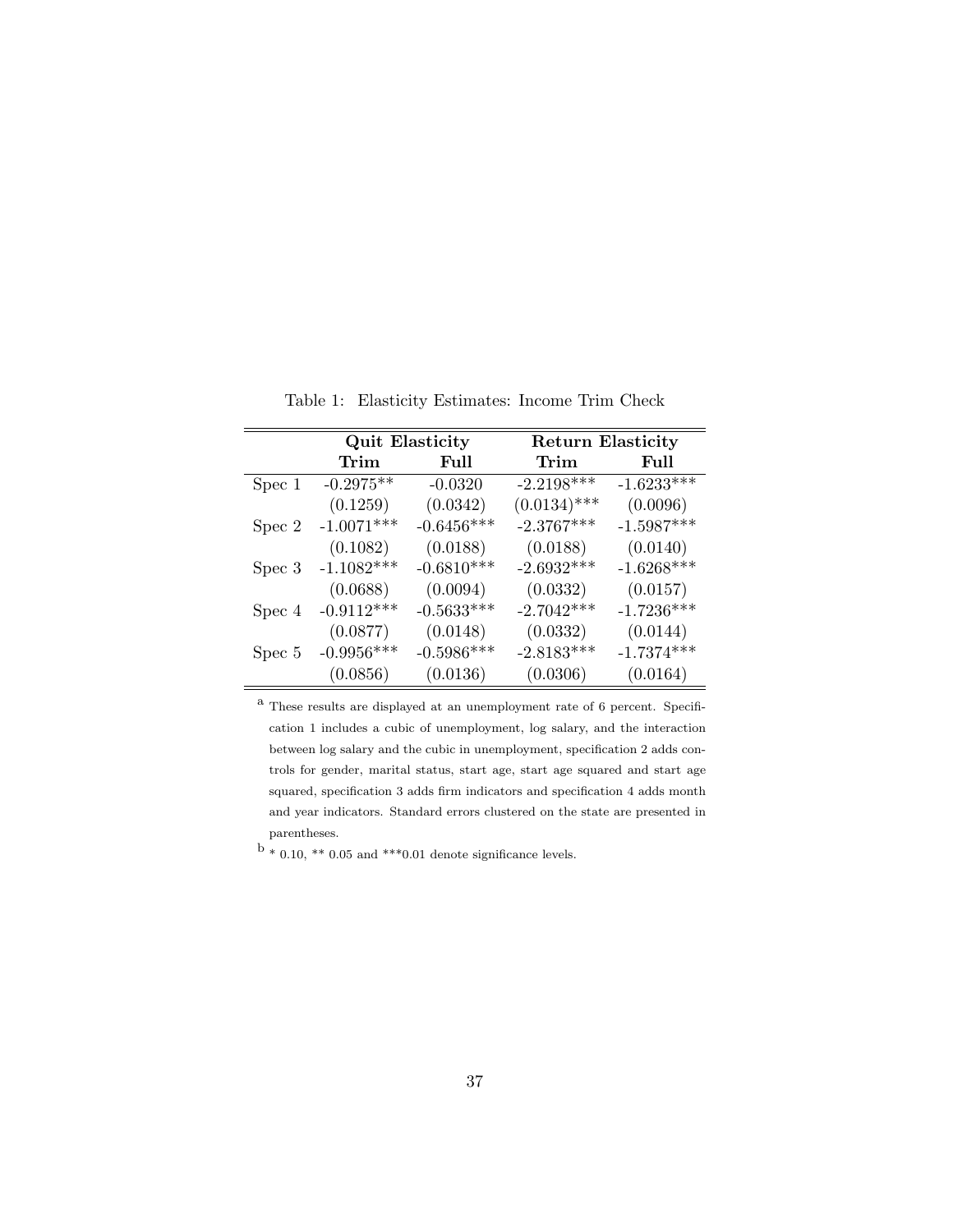|        |              | <b>Quit Elasticity</b> | <b>Return Elasticity</b> |              |  |
|--------|--------------|------------------------|--------------------------|--------------|--|
|        | Trim         | Full                   | Trim                     | Full         |  |
| Spec 1 | $-0.2975**$  | $-0.0320$              | $-2.2198***$             | $-1.6233***$ |  |
|        | (0.1259)     | (0.0342)               | $(0.0134)$ ***           | (0.0096)     |  |
| Spec 2 | $-1.0071***$ | $-0.6456***$           | $-2.3767***$             | $-1.5987***$ |  |
|        | (0.1082)     | (0.0188)               | (0.0188)                 | (0.0140)     |  |
| Spec 3 | $-1.1082***$ | $-0.6810***$           | $-2.6932***$             | $-1.6268***$ |  |
|        | (0.0688)     | (0.0094)               | (0.0332)                 | (0.0157)     |  |
| Spec 4 | $-0.9112***$ | $-0.5633***$           | $-2.7042***$             | $-1.7236***$ |  |
|        | (0.0877)     | (0.0148)               | (0.0332)                 | (0.0144)     |  |
| Spec 5 | $-0.9956***$ | $-0.5986***$           | $-2.8183***$             | $-1.7374***$ |  |
|        | (0.0856)     | (0.0136)               | (0.0306)                 | (0.0164)     |  |

Table 1: Elasticity Estimates: Income Trim Check

 $^{\rm a}$  These results are displayed at an unemployment rate of 6 percent. Specification 1 includes a cubic of unemployment, log salary, and the interaction between log salary and the cubic in unemployment, specification 2 adds controls for gender, marital status, start age, start age squared and start age squared, specification 3 adds firm indicators and specification 4 adds month and year indicators. Standard errors clustered on the state are presented in parentheses.

 $b * 0.10, ** 0.05$  and  $***0.01$  denote significance levels.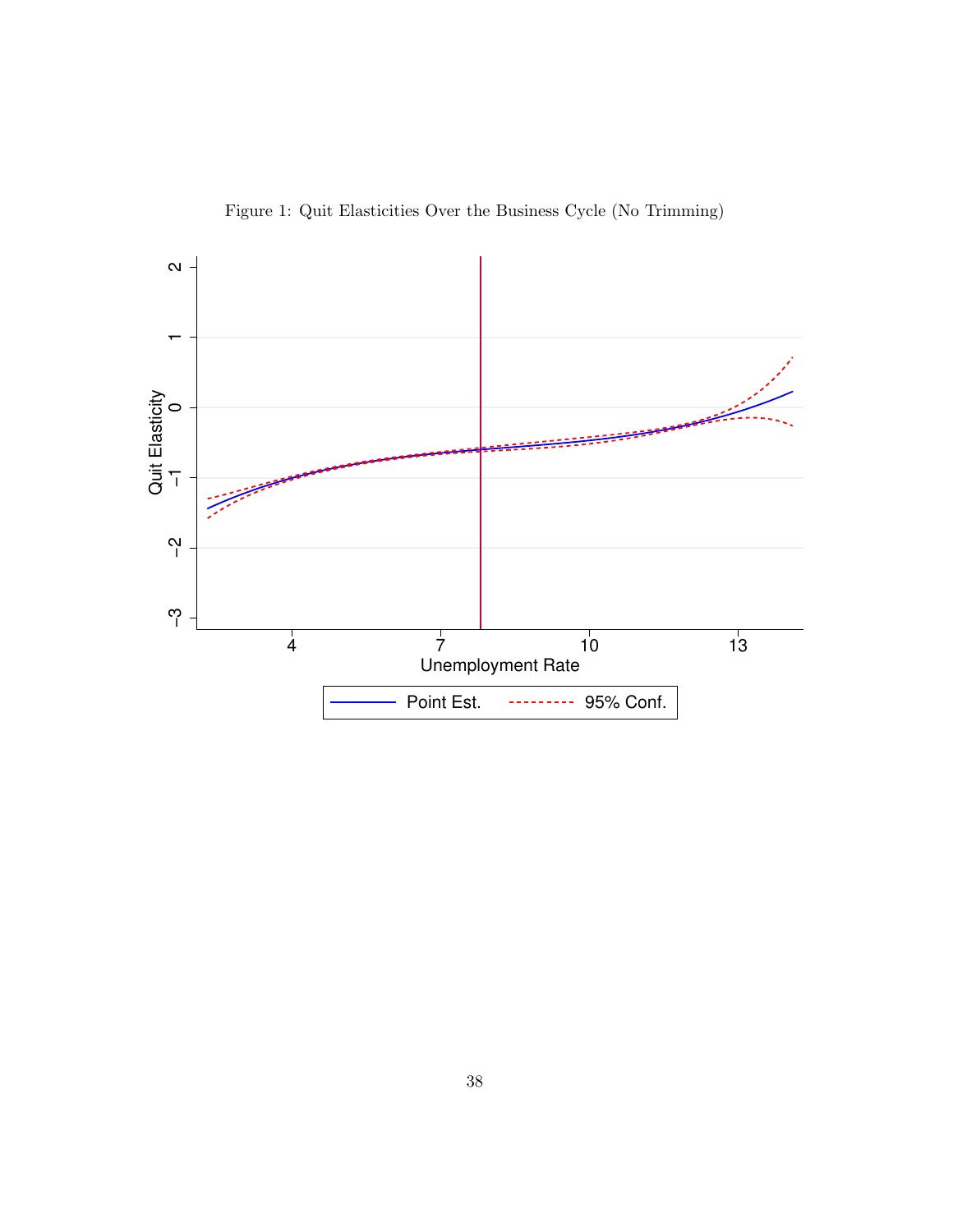Figure 1: Quit Elasticities Over the Business Cycle (No Trimming)

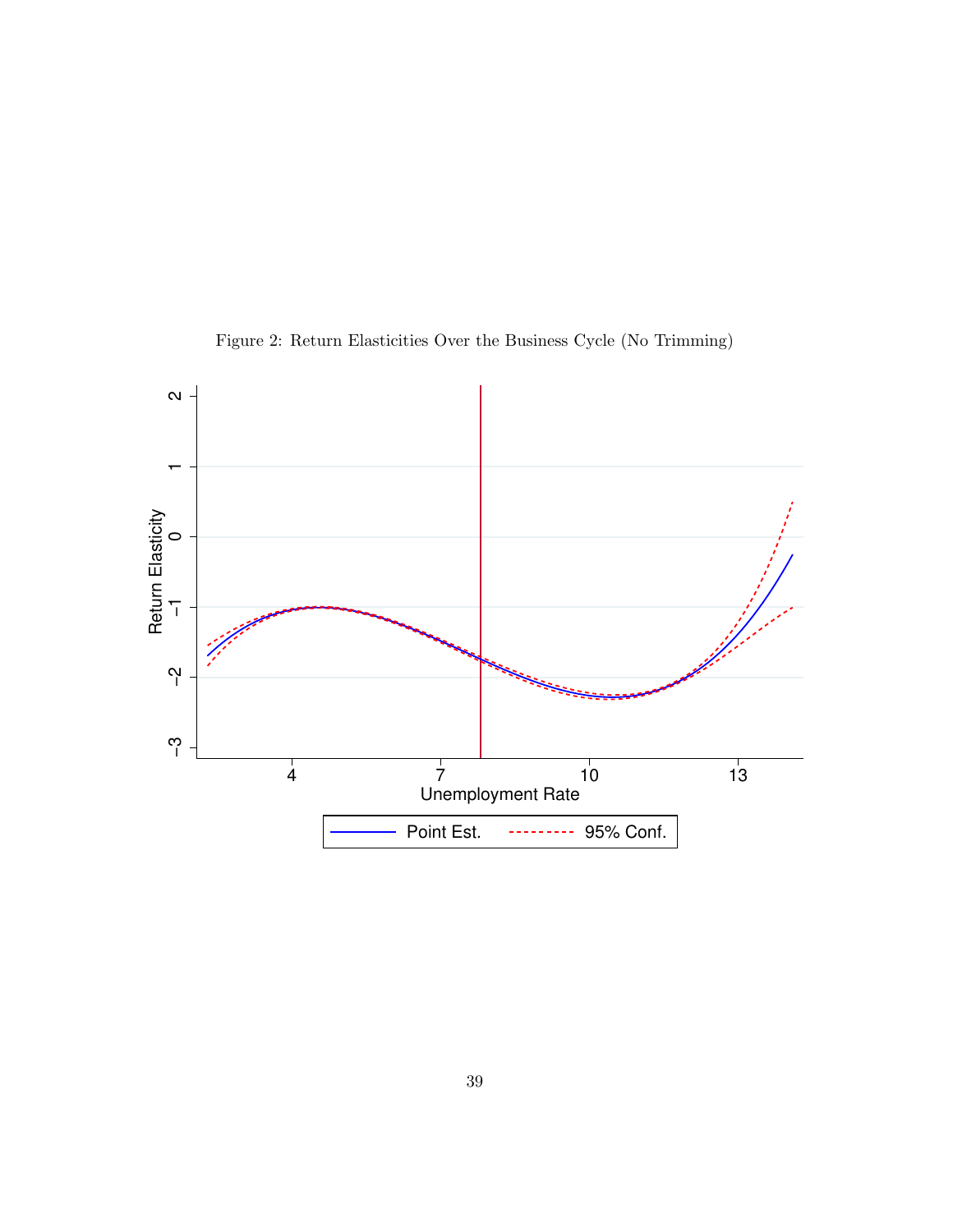

Figure 2: Return Elasticities Over the Business Cycle (No Trimming)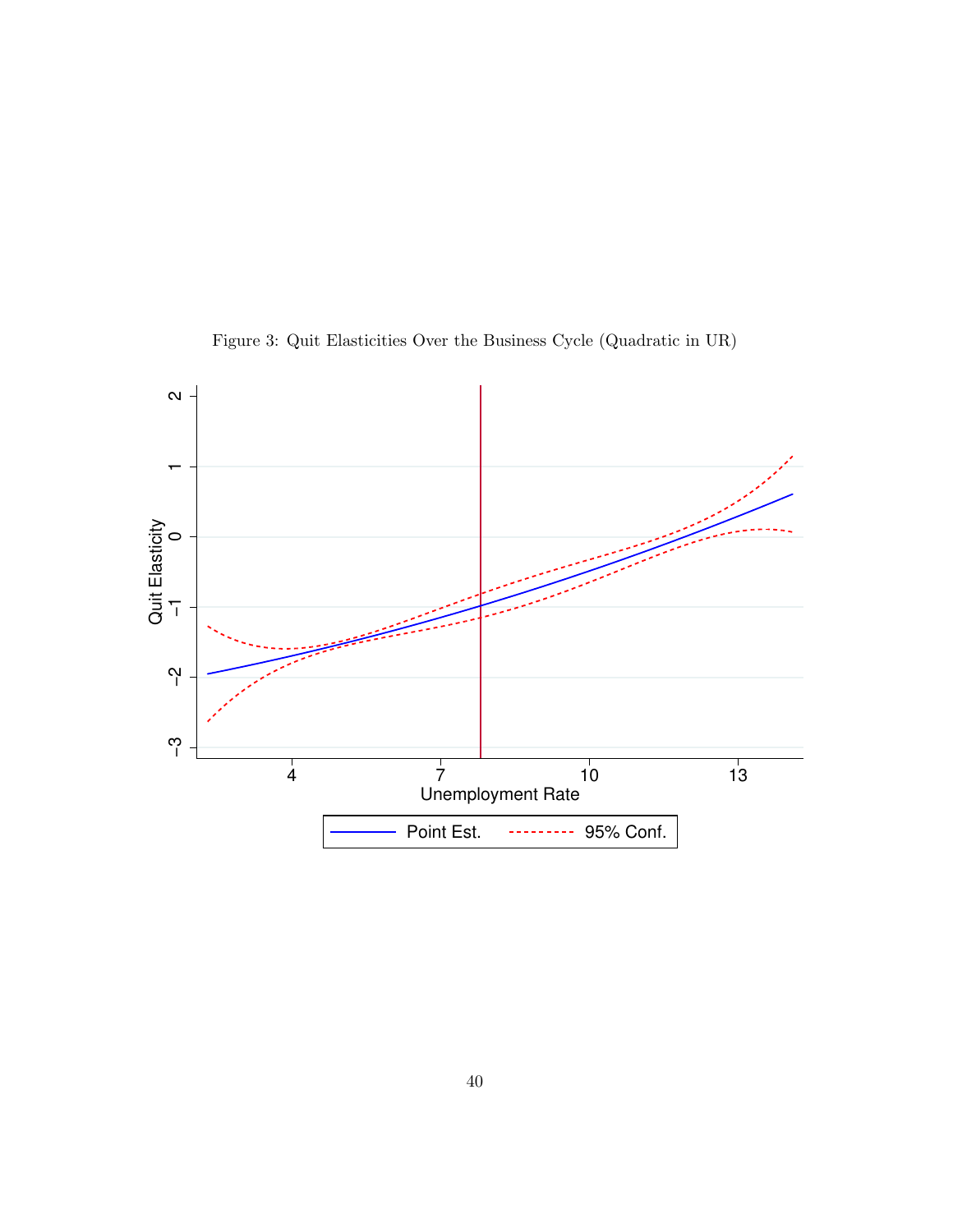

Figure 3: Quit Elasticities Over the Business Cycle (Quadratic in UR)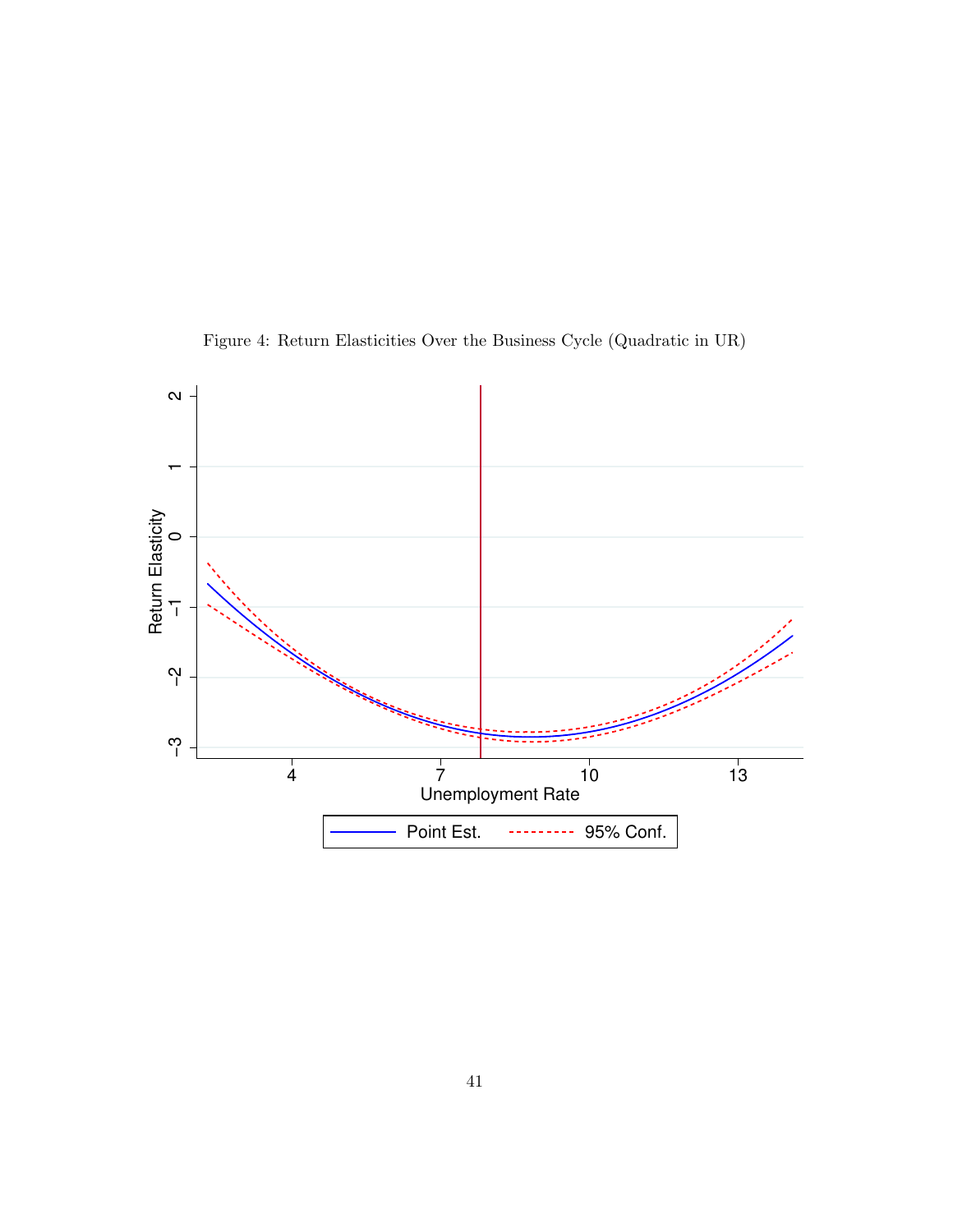

Figure 4: Return Elasticities Over the Business Cycle (Quadratic in UR)